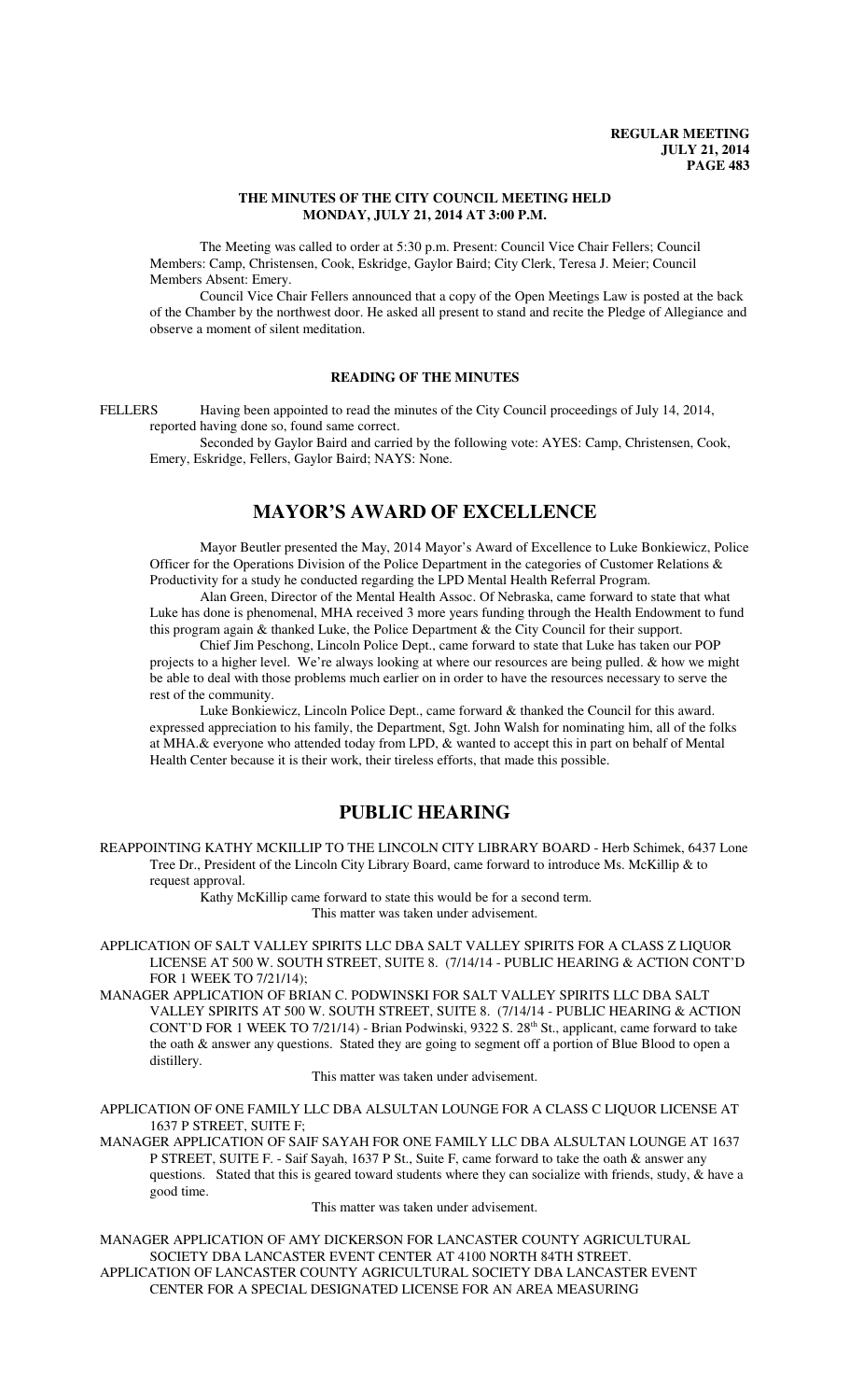## **THE MINUTES OF THE CITY COUNCIL MEETING HELD MONDAY, JULY 21, 2014 AT 3:00 P.M.**

The Meeting was called to order at 5:30 p.m. Present: Council Vice Chair Fellers; Council Members: Camp, Christensen, Cook, Eskridge, Gaylor Baird; City Clerk, Teresa J. Meier; Council Members Absent: Emery.

Council Vice Chair Fellers announced that a copy of the Open Meetings Law is posted at the back of the Chamber by the northwest door. He asked all present to stand and recite the Pledge of Allegiance and observe a moment of silent meditation.

# **READING OF THE MINUTES**

FELLERS Having been appointed to read the minutes of the City Council proceedings of July 14, 2014, reported having done so, found same correct.

Seconded by Gaylor Baird and carried by the following vote: AYES: Camp, Christensen, Cook, Emery, Eskridge, Fellers, Gaylor Baird; NAYS: None.

# **MAYOR'S AWARD OF EXCELLENCE**

Mayor Beutler presented the May, 2014 Mayor's Award of Excellence to Luke Bonkiewicz, Police Officer for the Operations Division of the Police Department in the categories of Customer Relations & Productivity for a study he conducted regarding the LPD Mental Health Referral Program.

Alan Green, Director of the Mental Health Assoc. Of Nebraska, came forward to state that what Luke has done is phenomenal, MHA received 3 more years funding through the Health Endowment to fund this program again & thanked Luke, the Police Department & the City Council for their support.

Chief Jim Peschong, Lincoln Police Dept., came forward to state that Luke has taken our POP projects to a higher level. We're always looking at where our resources are being pulled. & how we might be able to deal with those problems much earlier on in order to have the resources necessary to serve the rest of the community.

Luke Bonkiewicz, Lincoln Police Dept., came forward & thanked the Council for this award. expressed appreciation to his family, the Department, Sgt. John Walsh for nominating him, all of the folks at MHA.& everyone who attended today from LPD, & wanted to accept this in part on behalf of Mental Health Center because it is their work, their tireless efforts, that made this possible.

# **PUBLIC HEARING**

REAPPOINTING KATHY MCKILLIP TO THE LINCOLN CITY LIBRARY BOARD - Herb Schimek, 6437 Lone Tree Dr., President of the Lincoln City Library Board, came forward to introduce Ms. McKillip & to request approval.

> Kathy McKillip came forward to state this would be for a second term. This matter was taken under advisement.

APPLICATION OF SALT VALLEY SPIRITS LLC DBA SALT VALLEY SPIRITS FOR A CLASS Z LIQUOR LICENSE AT 500 W. SOUTH STREET, SUITE 8. (7/14/14 - PUBLIC HEARING & ACTION CONT'D FOR 1 WEEK TO 7/21/14);

MANAGER APPLICATION OF BRIAN C. PODWINSKI FOR SALT VALLEY SPIRITS LLC DBA SALT VALLEY SPIRITS AT 500 W. SOUTH STREET, SUITE 8. (7/14/14 - PUBLIC HEARING & ACTION CONT'D FOR 1 WEEK TO 7/21/14) - Brian Podwinski, 9322 S. 28<sup>th</sup> St., applicant, came forward to take the oath & answer any questions. Stated they are going to segment off a portion of Blue Blood to open a distillery.

This matter was taken under advisement.

APPLICATION OF ONE FAMILY LLC DBA ALSULTAN LOUNGE FOR A CLASS C LIQUOR LICENSE AT 1637 P STREET, SUITE F;

MANAGER APPLICATION OF SAIF SAYAH FOR ONE FAMILY LLC DBA ALSULTAN LOUNGE AT 1637 P STREET, SUITE F. - Saif Sayah, 1637 P St., Suite F, came forward to take the oath & answer any questions. Stated that this is geared toward students where they can socialize with friends, study,  $\&$  have a good time.

This matter was taken under advisement.

MANAGER APPLICATION OF AMY DICKERSON FOR LANCASTER COUNTY AGRICULTURAL SOCIETY DBA LANCASTER EVENT CENTER AT 4100 NORTH 84TH STREET. APPLICATION OF LANCASTER COUNTY AGRICULTURAL SOCIETY DBA LANCASTER EVENT CENTER FOR A SPECIAL DESIGNATED LICENSE FOR AN AREA MEASURING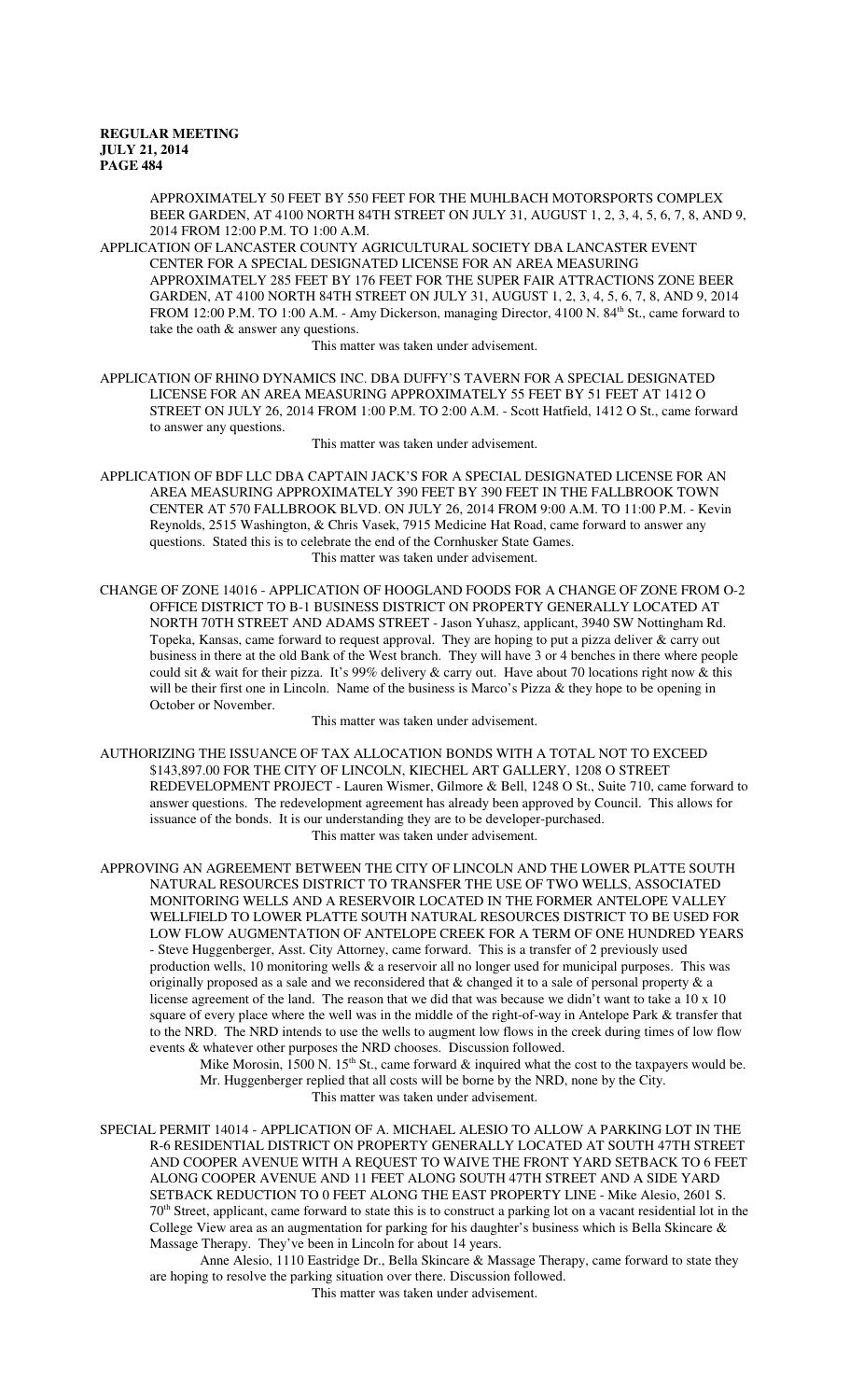APPROXIMATELY 50 FEET BY 550 FEET FOR THE MUHLBACH MOTORSPORTS COMPLEX BEER GARDEN, AT 4100 NORTH 84TH STREET ON JULY 31, AUGUST 1, 2, 3, 4, 5, 6, 7, 8, AND 9, 2014 FROM 12:00 P.M. TO 1:00 A.M.

APPLICATION OF LANCASTER COUNTY AGRICULTURAL SOCIETY DBA LANCASTER EVENT CENTER FOR A SPECIAL DESIGNATED LICENSE FOR AN AREA MEASURING APPROXIMATELY 285 FEET BY 176 FEET FOR THE SUPER FAIR ATTRACTIONS ZONE BEER GARDEN, AT 4100 NORTH 84TH STREET ON JULY 31, AUGUST 1, 2, 3, 4, 5, 6, 7, 8, AND 9, 2014 FROM 12:00 P.M. TO 1:00 A.M. - Amy Dickerson, managing Director, 4100 N. 84<sup>th</sup> St., came forward to take the oath & answer any questions.

This matter was taken under advisement.

APPLICATION OF RHINO DYNAMICS INC. DBA DUFFY'S TAVERN FOR A SPECIAL DESIGNATED LICENSE FOR AN AREA MEASURING APPROXIMATELY 55 FEET BY 51 FEET AT 1412 O STREET ON JULY 26, 2014 FROM 1:00 P.M. TO 2:00 A.M. - Scott Hatfield, 1412 O St., came forward to answer any questions.

This matter was taken under advisement.

APPLICATION OF BDF LLC DBA CAPTAIN JACK'S FOR A SPECIAL DESIGNATED LICENSE FOR AN AREA MEASURING APPROXIMATELY 390 FEET BY 390 FEET IN THE FALLBROOK TOWN CENTER AT 570 FALLBROOK BLVD. ON JULY 26, 2014 FROM 9:00 A.M. TO 11:00 P.M. - Kevin Reynolds, 2515 Washington, & Chris Vasek, 7915 Medicine Hat Road, came forward to answer any questions. Stated this is to celebrate the end of the Cornhusker State Games. This matter was taken under advisement.

CHANGE OF ZONE 14016 - APPLICATION OF HOOGLAND FOODS FOR A CHANGE OF ZONE FROM O-2 OFFICE DISTRICT TO B-1 BUSINESS DISTRICT ON PROPERTY GENERALLY LOCATED AT NORTH 70TH STREET AND ADAMS STREET - Jason Yuhasz, applicant, 3940 SW Nottingham Rd. Topeka, Kansas, came forward to request approval. They are hoping to put a pizza deliver  $\&$  carry out business in there at the old Bank of the West branch. They will have 3 or 4 benches in there where people could sit & wait for their pizza. It's 99% delivery & carry out. Have about 70 locations right now & this will be their first one in Lincoln. Name of the business is Marco's Pizza & they hope to be opening in October or November.

This matter was taken under advisement.

AUTHORIZING THE ISSUANCE OF TAX ALLOCATION BONDS WITH A TOTAL NOT TO EXCEED \$143,897.00 FOR THE CITY OF LINCOLN, KIECHEL ART GALLERY, 1208 O STREET REDEVELOPMENT PROJECT - Lauren Wismer, Gilmore & Bell, 1248 O St., Suite 710, came forward to answer questions. The redevelopment agreement has already been approved by Council. This allows for issuance of the bonds. It is our understanding they are to be developer-purchased. This matter was taken under advisement.

APPROVING AN AGREEMENT BETWEEN THE CITY OF LINCOLN AND THE LOWER PLATTE SOUTH NATURAL RESOURCES DISTRICT TO TRANSFER THE USE OF TWO WELLS, ASSOCIATED MONITORING WELLS AND A RESERVOIR LOCATED IN THE FORMER ANTELOPE VALLEY WELLFIELD TO LOWER PLATTE SOUTH NATURAL RESOURCES DISTRICT TO BE USED FOR LOW FLOW AUGMENTATION OF ANTELOPE CREEK FOR A TERM OF ONE HUNDRED YEARS - Steve Huggenberger, Asst. City Attorney, came forward. This is a transfer of 2 previously used production wells, 10 monitoring wells & a reservoir all no longer used for municipal purposes. This was originally proposed as a sale and we reconsidered that & changed it to a sale of personal property & a license agreement of the land. The reason that we did that was because we didn't want to take a 10 x 10 square of every place where the well was in the middle of the right-of-way in Antelope Park & transfer that to the NRD. The NRD intends to use the wells to augment low flows in the creek during times of low flow events & whatever other purposes the NRD chooses. Discussion followed.

Mike Morosin,  $1500$  N.  $15<sup>th</sup>$  St., came forward & inquired what the cost to the taxpayers would be. Mr. Huggenberger replied that all costs will be borne by the NRD, none by the City. This matter was taken under advisement.

SPECIAL PERMIT 14014 - APPLICATION OF A. MICHAEL ALESIO TO ALLOW A PARKING LOT IN THE R-6 RESIDENTIAL DISTRICT ON PROPERTY GENERALLY LOCATED AT SOUTH 47TH STREET AND COOPER AVENUE WITH A REQUEST TO WAIVE THE FRONT YARD SETBACK TO 6 FEET ALONG COOPER AVENUE AND 11 FEET ALONG SOUTH 47TH STREET AND A SIDE YARD SETBACK REDUCTION TO 0 FEET ALONG THE EAST PROPERTY LINE - Mike Alesio, 2601 S. 70th Street, applicant, came forward to state this is to construct a parking lot on a vacant residential lot in the College View area as an augmentation for parking for his daughter's business which is Bella Skincare  $\&$ Massage Therapy. They've been in Lincoln for about 14 years.

Anne Alesio, 1110 Eastridge Dr., Bella Skincare & Massage Therapy, came forward to state they are hoping to resolve the parking situation over there. Discussion followed.

This matter was taken under advisement.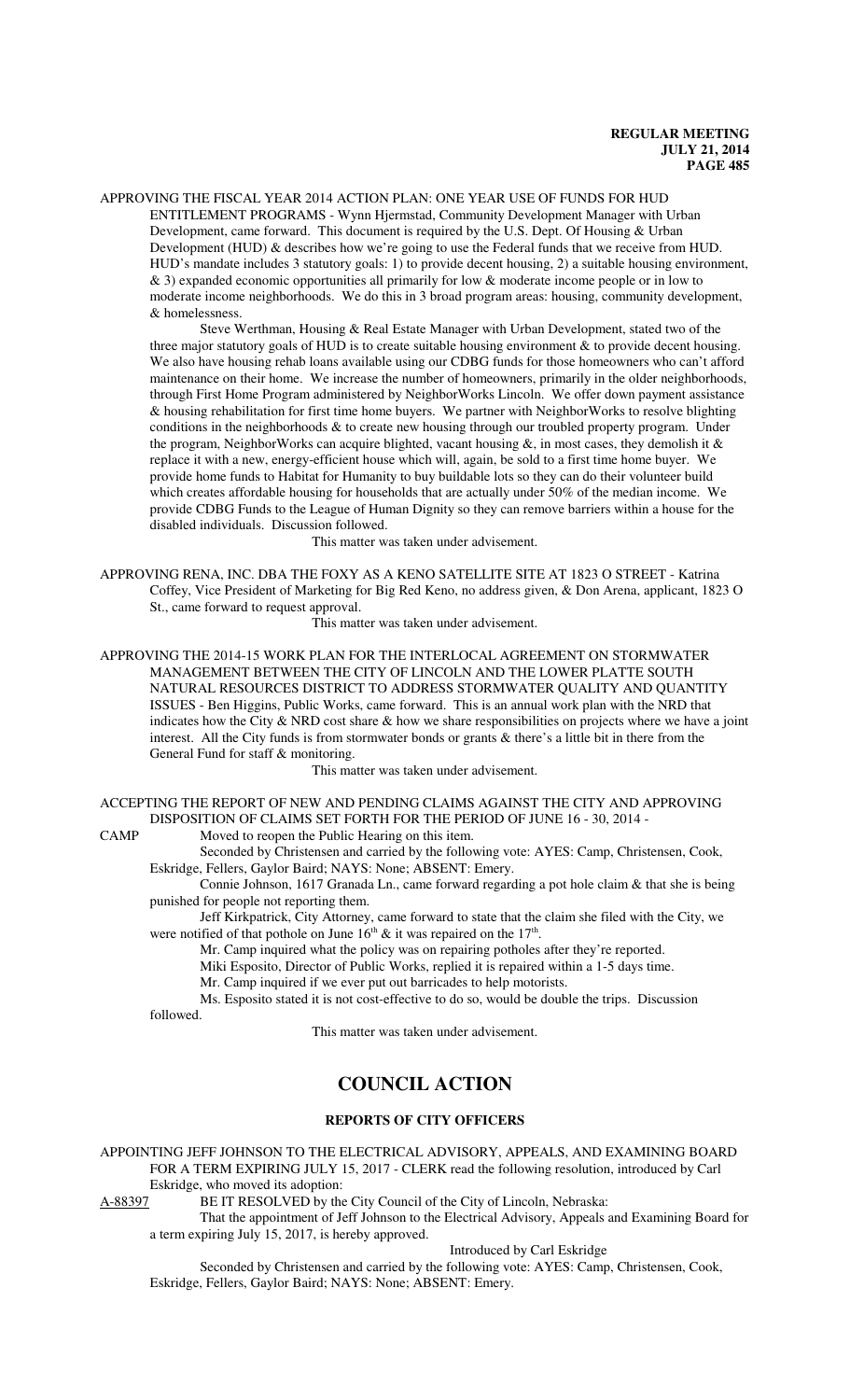APPROVING THE FISCAL YEAR 2014 ACTION PLAN: ONE YEAR USE OF FUNDS FOR HUD ENTITLEMENT PROGRAMS - Wynn Hjermstad, Community Development Manager with Urban Development, came forward. This document is required by the U.S. Dept. Of Housing & Urban Development (HUD) & describes how we're going to use the Federal funds that we receive from HUD. HUD's mandate includes 3 statutory goals: 1) to provide decent housing, 2) a suitable housing environment, & 3) expanded economic opportunities all primarily for low & moderate income people or in low to moderate income neighborhoods. We do this in 3 broad program areas: housing, community development, & homelessness.

Steve Werthman, Housing & Real Estate Manager with Urban Development, stated two of the three major statutory goals of HUD is to create suitable housing environment  $\&$  to provide decent housing. We also have housing rehab loans available using our CDBG funds for those homeowners who can't afford maintenance on their home. We increase the number of homeowners, primarily in the older neighborhoods, through First Home Program administered by NeighborWorks Lincoln. We offer down payment assistance & housing rehabilitation for first time home buyers. We partner with NeighborWorks to resolve blighting conditions in the neighborhoods & to create new housing through our troubled property program. Under the program, NeighborWorks can acquire blighted, vacant housing  $\&$ , in most cases, they demolish it  $\&$ replace it with a new, energy-efficient house which will, again, be sold to a first time home buyer. We provide home funds to Habitat for Humanity to buy buildable lots so they can do their volunteer build which creates affordable housing for households that are actually under 50% of the median income. We provide CDBG Funds to the League of Human Dignity so they can remove barriers within a house for the disabled individuals. Discussion followed.

This matter was taken under advisement.

APPROVING RENA, INC. DBA THE FOXY AS A KENO SATELLITE SITE AT 1823 O STREET - Katrina Coffey, Vice President of Marketing for Big Red Keno, no address given, & Don Arena, applicant, 1823 O St., came forward to request approval.

This matter was taken under advisement.

APPROVING THE 2014-15 WORK PLAN FOR THE INTERLOCAL AGREEMENT ON STORMWATER MANAGEMENT BETWEEN THE CITY OF LINCOLN AND THE LOWER PLATTE SOUTH NATURAL RESOURCES DISTRICT TO ADDRESS STORMWATER QUALITY AND QUANTITY ISSUES - Ben Higgins, Public Works, came forward. This is an annual work plan with the NRD that indicates how the City & NRD cost share & how we share responsibilities on projects where we have a joint interest. All the City funds is from stormwater bonds or grants & there's a little bit in there from the General Fund for staff & monitoring.

This matter was taken under advisement.

ACCEPTING THE REPORT OF NEW AND PENDING CLAIMS AGAINST THE CITY AND APPROVING DISPOSITION OF CLAIMS SET FORTH FOR THE PERIOD OF JUNE 16 - 30, 2014 -

CAMP Moved to reopen the Public Hearing on this item.

Seconded by Christensen and carried by the following vote: AYES: Camp, Christensen, Cook, Eskridge, Fellers, Gaylor Baird; NAYS: None; ABSENT: Emery.

Connie Johnson, 1617 Granada Ln., came forward regarding a pot hole claim & that she is being punished for people not reporting them.

Jeff Kirkpatrick, City Attorney, came forward to state that the claim she filed with the City, we were notified of that pothole on June  $16<sup>th</sup>$  & it was repaired on the  $17<sup>th</sup>$ .

Mr. Camp inquired what the policy was on repairing potholes after they're reported.

Miki Esposito, Director of Public Works, replied it is repaired within a 1-5 days time.

Mr. Camp inquired if we ever put out barricades to help motorists.

Ms. Esposito stated it is not cost-effective to do so, would be double the trips. Discussion followed.

This matter was taken under advisement.

# **COUNCIL ACTION**

### **REPORTS OF CITY OFFICERS**

APPOINTING JEFF JOHNSON TO THE ELECTRICAL ADVISORY, APPEALS, AND EXAMINING BOARD FOR A TERM EXPIRING JULY 15, 2017 - CLERK read the following resolution, introduced by Carl Eskridge, who moved its adoption:<br>A-88397 BE IT RESOLVED by the

BE IT RESOLVED by the City Council of the City of Lincoln, Nebraska:

That the appointment of Jeff Johnson to the Electrical Advisory, Appeals and Examining Board for a term expiring July 15, 2017, is hereby approved.

Introduced by Carl Eskridge

Seconded by Christensen and carried by the following vote: AYES: Camp, Christensen, Cook, Eskridge, Fellers, Gaylor Baird; NAYS: None; ABSENT: Emery.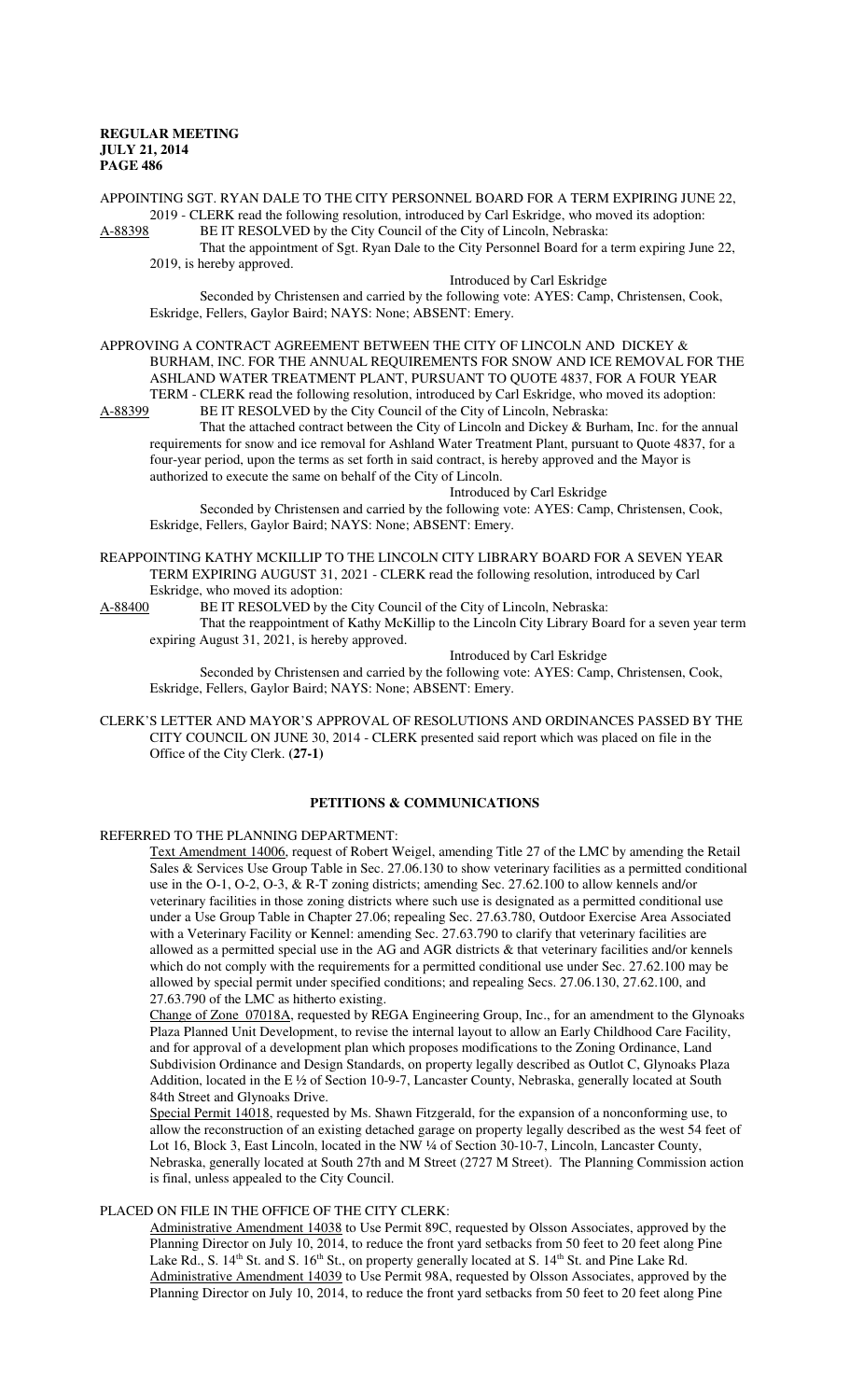APPOINTING SGT. RYAN DALE TO THE CITY PERSONNEL BOARD FOR A TERM EXPIRING JUNE 22, 2019 - CLERK read the following resolution, introduced by Carl Eskridge, who moved its adoption: A-88398 BE IT RESOLVED by the City Council of the City of Lincoln, Nebraska:

That the appointment of Sgt. Ryan Dale to the City Personnel Board for a term expiring June 22, 2019, is hereby approved.

Introduced by Carl Eskridge

Seconded by Christensen and carried by the following vote: AYES: Camp, Christensen, Cook, Eskridge, Fellers, Gaylor Baird; NAYS: None; ABSENT: Emery.

APPROVING A CONTRACT AGREEMENT BETWEEN THE CITY OF LINCOLN AND DICKEY &

BURHAM, INC. FOR THE ANNUAL REQUIREMENTS FOR SNOW AND ICE REMOVAL FOR THE ASHLAND WATER TREATMENT PLANT, PURSUANT TO QUOTE 4837, FOR A FOUR YEAR TERM - CLERK read the following resolution, introduced by Carl Eskridge, who moved its adoption:<br>A-88399 BE IT RESOLVED by the City Council of the City of Lincoln. Nebraska: BE IT RESOLVED by the City Council of the City of Lincoln, Nebraska:

That the attached contract between the City of Lincoln and Dickey & Burham, Inc. for the annual requirements for snow and ice removal for Ashland Water Treatment Plant, pursuant to Quote 4837, for a four-year period, upon the terms as set forth in said contract, is hereby approved and the Mayor is authorized to execute the same on behalf of the City of Lincoln.

Introduced by Carl Eskridge

Seconded by Christensen and carried by the following vote: AYES: Camp, Christensen, Cook, Eskridge, Fellers, Gaylor Baird; NAYS: None; ABSENT: Emery.

REAPPOINTING KATHY MCKILLIP TO THE LINCOLN CITY LIBRARY BOARD FOR A SEVEN YEAR TERM EXPIRING AUGUST 31, 2021 - CLERK read the following resolution, introduced by Carl Eskridge, who moved its adoption:

A-88400 BE IT RESOLVED by the City Council of the City of Lincoln, Nebraska:

That the reappointment of Kathy McKillip to the Lincoln City Library Board for a seven year term expiring August 31, 2021, is hereby approved.

Introduced by Carl Eskridge

Seconded by Christensen and carried by the following vote: AYES: Camp, Christensen, Cook, Eskridge, Fellers, Gaylor Baird; NAYS: None; ABSENT: Emery.

CLERK'S LETTER AND MAYOR'S APPROVAL OF RESOLUTIONS AND ORDINANCES PASSED BY THE CITY COUNCIL ON JUNE 30, 2014 - CLERK presented said report which was placed on file in the Office of the City Clerk. **(27-1)**

# **PETITIONS & COMMUNICATIONS**

# REFERRED TO THE PLANNING DEPARTMENT:

Text Amendment 14006, request of Robert Weigel, amending Title 27 of the LMC by amending the Retail Sales & Services Use Group Table in Sec. 27.06.130 to show veterinary facilities as a permitted conditional use in the O-1, O-2, O-3, & R-T zoning districts; amending Sec. 27.62.100 to allow kennels and/or veterinary facilities in those zoning districts where such use is designated as a permitted conditional use under a Use Group Table in Chapter 27.06; repealing Sec. 27.63.780, Outdoor Exercise Area Associated with a Veterinary Facility or Kennel: amending Sec. 27.63.790 to clarify that veterinary facilities are allowed as a permitted special use in the AG and AGR districts & that veterinary facilities and/or kennels which do not comply with the requirements for a permitted conditional use under Sec. 27.62.100 may be allowed by special permit under specified conditions; and repealing Secs. 27.06.130, 27.62.100, and 27.63.790 of the LMC as hitherto existing.

Change of Zone 07018A, requested by REGA Engineering Group, Inc., for an amendment to the Glynoaks Plaza Planned Unit Development, to revise the internal layout to allow an Early Childhood Care Facility, and for approval of a development plan which proposes modifications to the Zoning Ordinance, Land Subdivision Ordinance and Design Standards, on property legally described as Outlot C, Glynoaks Plaza Addition, located in the E ½ of Section 10-9-7, Lancaster County, Nebraska, generally located at South 84th Street and Glynoaks Drive.

Special Permit 14018, requested by Ms. Shawn Fitzgerald, for the expansion of a nonconforming use, to allow the reconstruction of an existing detached garage on property legally described as the west 54 feet of Lot 16, Block 3, East Lincoln, located in the NW 1/4 of Section 30-10-7, Lincoln, Lancaster County, Nebraska, generally located at South 27th and M Street (2727 M Street). The Planning Commission action is final, unless appealed to the City Council.

# PLACED ON FILE IN THE OFFICE OF THE CITY CLERK:

Administrative Amendment 14038 to Use Permit 89C, requested by Olsson Associates, approved by the Planning Director on July 10, 2014, to reduce the front yard setbacks from 50 feet to 20 feet along Pine Lake Rd., S. 14<sup>th</sup> St. and S. 16<sup>th</sup> St., on property generally located at S. 14<sup>th</sup> St. and Pine Lake Rd. Administrative Amendment 14039 to Use Permit 98A, requested by Olsson Associates, approved by the Planning Director on July 10, 2014, to reduce the front yard setbacks from 50 feet to 20 feet along Pine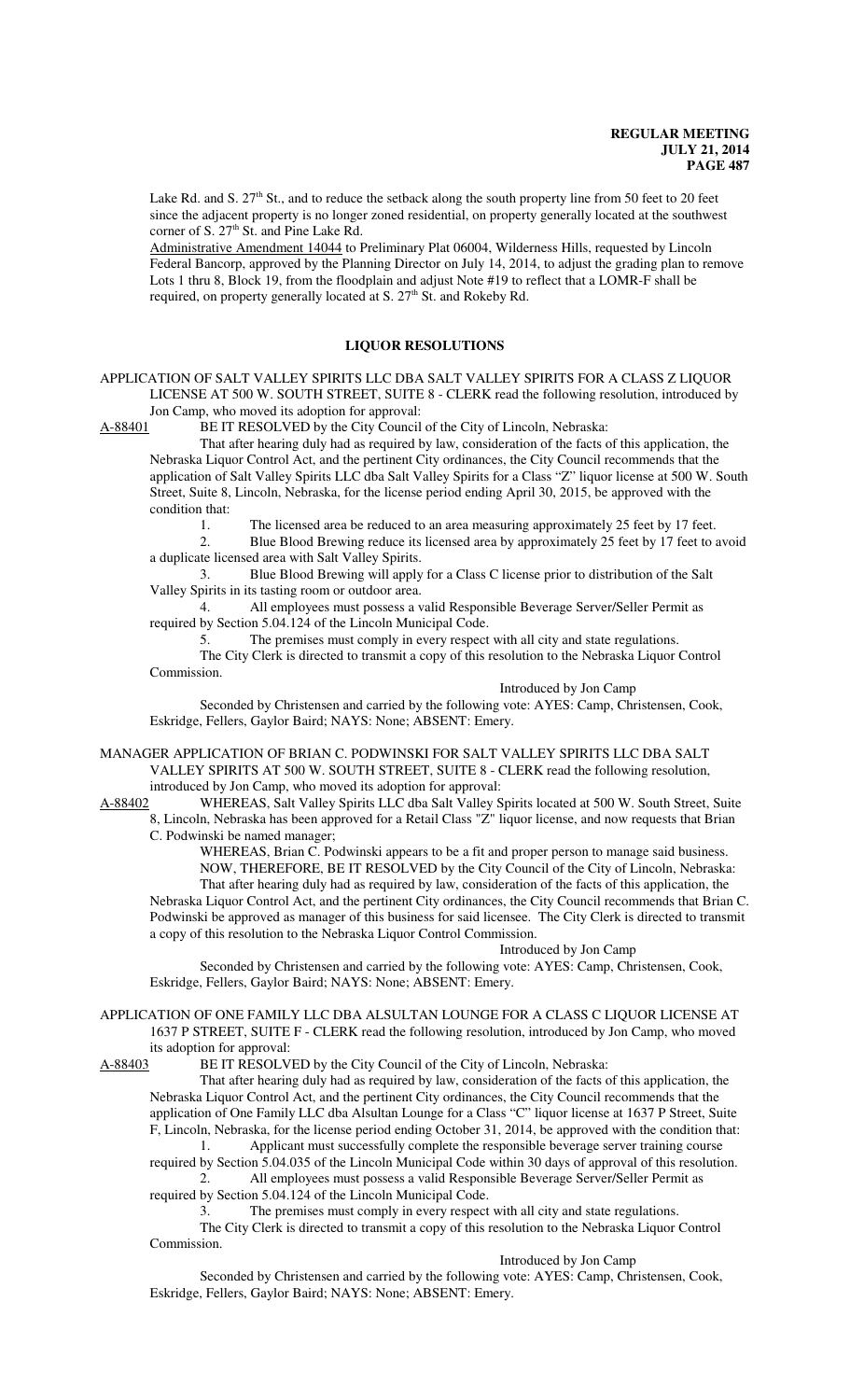Lake Rd. and S. 27<sup>th</sup> St., and to reduce the setback along the south property line from 50 feet to 20 feet since the adjacent property is no longer zoned residential, on property generally located at the southwest corner of S.  $27<sup>th</sup>$  St. and Pine Lake Rd.

Administrative Amendment 14044 to Preliminary Plat 06004, Wilderness Hills, requested by Lincoln Federal Bancorp, approved by the Planning Director on July 14, 2014, to adjust the grading plan to remove Lots 1 thru 8, Block 19, from the floodplain and adjust Note #19 to reflect that a LOMR-F shall be required, on property generally located at S. 27<sup>th</sup> St. and Rokeby Rd.

# **LIQUOR RESOLUTIONS**

APPLICATION OF SALT VALLEY SPIRITS LLC DBA SALT VALLEY SPIRITS FOR A CLASS Z LIQUOR LICENSE AT 500 W. SOUTH STREET, SUITE 8 - CLERK read the following resolution, introduced by Jon Camp, who moved its adoption for approval:

A-88401 BE IT RESOLVED by the City Council of the City of Lincoln, Nebraska:

That after hearing duly had as required by law, consideration of the facts of this application, the Nebraska Liquor Control Act, and the pertinent City ordinances, the City Council recommends that the application of Salt Valley Spirits LLC dba Salt Valley Spirits for a Class "Z" liquor license at 500 W. South Street, Suite 8, Lincoln, Nebraska, for the license period ending April 30, 2015, be approved with the condition that:

1. The licensed area be reduced to an area measuring approximately 25 feet by 17 feet.<br>2. Blue Blood Brewing reduce its licensed area by approximately 25 feet by 17 feet to a

2. Blue Blood Brewing reduce its licensed area by approximately 25 feet by 17 feet to avoid a duplicate licensed area with Salt Valley Spirits.

3. Blue Blood Brewing will apply for a Class C license prior to distribution of the Salt Valley Spirits in its tasting room or outdoor area.

4. All employees must possess a valid Responsible Beverage Server/Seller Permit as required by Section 5.04.124 of the Lincoln Municipal Code.

5. The premises must comply in every respect with all city and state regulations. The City Clerk is directed to transmit a copy of this resolution to the Nebraska Liquor Control

Commission.

Introduced by Jon Camp

Seconded by Christensen and carried by the following vote: AYES: Camp, Christensen, Cook, Eskridge, Fellers, Gaylor Baird; NAYS: None; ABSENT: Emery.

MANAGER APPLICATION OF BRIAN C. PODWINSKI FOR SALT VALLEY SPIRITS LLC DBA SALT VALLEY SPIRITS AT 500 W. SOUTH STREET, SUITE 8 - CLERK read the following resolution, introduced by Jon Camp, who moved its adoption for approval:

A-88402 WHEREAS, Salt Valley Spirits LLC dba Salt Valley Spirits located at 500 W. South Street, Suite 8, Lincoln, Nebraska has been approved for a Retail Class "Z" liquor license, and now requests that Brian C. Podwinski be named manager;

WHEREAS, Brian C. Podwinski appears to be a fit and proper person to manage said business. NOW, THEREFORE, BE IT RESOLVED by the City Council of the City of Lincoln, Nebraska: That after hearing duly had as required by law, consideration of the facts of this application, the Nebraska Liquor Control Act, and the pertinent City ordinances, the City Council recommends that Brian C. Podwinski be approved as manager of this business for said licensee. The City Clerk is directed to transmit a copy of this resolution to the Nebraska Liquor Control Commission.

#### Introduced by Jon Camp

Seconded by Christensen and carried by the following vote: AYES: Camp, Christensen, Cook, Eskridge, Fellers, Gaylor Baird; NAYS: None; ABSENT: Emery.

APPLICATION OF ONE FAMILY LLC DBA ALSULTAN LOUNGE FOR A CLASS C LIQUOR LICENSE AT 1637 P STREET, SUITE F - CLERK read the following resolution, introduced by Jon Camp, who moved its adoption for approval:

A-88403 BE IT RESOLVED by the City Council of the City of Lincoln, Nebraska:

That after hearing duly had as required by law, consideration of the facts of this application, the Nebraska Liquor Control Act, and the pertinent City ordinances, the City Council recommends that the application of One Family LLC dba Alsultan Lounge for a Class "C" liquor license at 1637 P Street, Suite F, Lincoln, Nebraska, for the license period ending October 31, 2014, be approved with the condition that:

1. Applicant must successfully complete the responsible beverage server training course required by Section 5.04.035 of the Lincoln Municipal Code within 30 days of approval of this resolution.

2. All employees must possess a valid Responsible Beverage Server/Seller Permit as required by Section 5.04.124 of the Lincoln Municipal Code.

3. The premises must comply in every respect with all city and state regulations.

The City Clerk is directed to transmit a copy of this resolution to the Nebraska Liquor Control Commission.

Introduced by Jon Camp

Seconded by Christensen and carried by the following vote: AYES: Camp, Christensen, Cook, Eskridge, Fellers, Gaylor Baird; NAYS: None; ABSENT: Emery.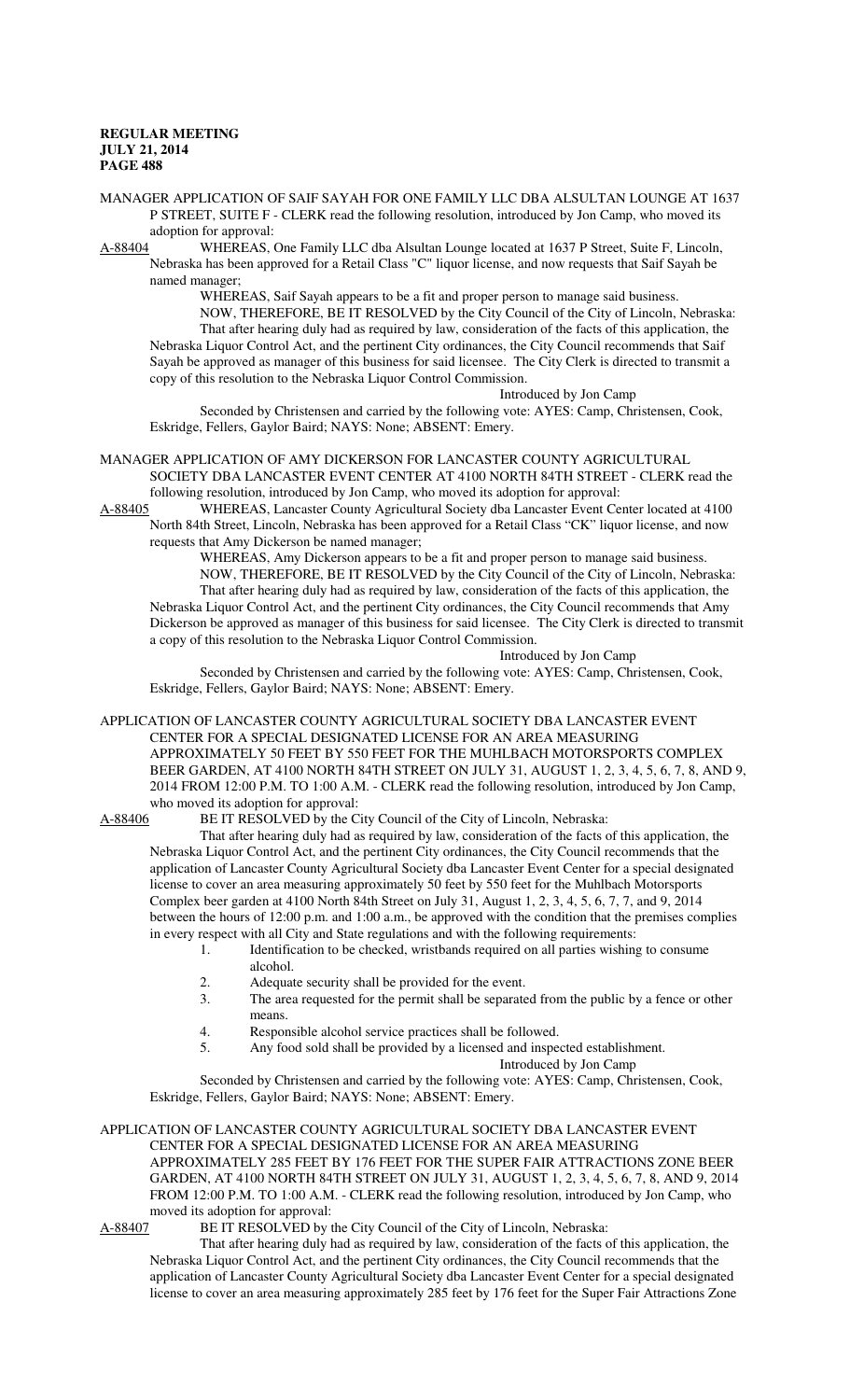- MANAGER APPLICATION OF SAIF SAYAH FOR ONE FAMILY LLC DBA ALSULTAN LOUNGE AT 1637 P STREET, SUITE F - CLERK read the following resolution, introduced by Jon Camp, who moved its adoption for approval:
- A-88404 WHEREAS, One Family LLC dba Alsultan Lounge located at 1637 P Street, Suite F, Lincoln, Nebraska has been approved for a Retail Class "C" liquor license, and now requests that Saif Sayah be named manager;

WHEREAS, Saif Sayah appears to be a fit and proper person to manage said business. NOW, THEREFORE, BE IT RESOLVED by the City Council of the City of Lincoln, Nebraska: That after hearing duly had as required by law, consideration of the facts of this application, the Nebraska Liquor Control Act, and the pertinent City ordinances, the City Council recommends that Saif Sayah be approved as manager of this business for said licensee. The City Clerk is directed to transmit a

copy of this resolution to the Nebraska Liquor Control Commission. Introduced by Jon Camp

Seconded by Christensen and carried by the following vote: AYES: Camp, Christensen, Cook, Eskridge, Fellers, Gaylor Baird; NAYS: None; ABSENT: Emery.

- MANAGER APPLICATION OF AMY DICKERSON FOR LANCASTER COUNTY AGRICULTURAL SOCIETY DBA LANCASTER EVENT CENTER AT 4100 NORTH 84TH STREET - CLERK read the following resolution, introduced by Jon Camp, who moved its adoption for approval:
- A-88405 WHEREAS, Lancaster County Agricultural Society dba Lancaster Event Center located at 4100 North 84th Street, Lincoln, Nebraska has been approved for a Retail Class "CK" liquor license, and now requests that Amy Dickerson be named manager;

WHEREAS, Amy Dickerson appears to be a fit and proper person to manage said business. NOW, THEREFORE, BE IT RESOLVED by the City Council of the City of Lincoln, Nebraska:

That after hearing duly had as required by law, consideration of the facts of this application, the Nebraska Liquor Control Act, and the pertinent City ordinances, the City Council recommends that Amy Dickerson be approved as manager of this business for said licensee. The City Clerk is directed to transmit a copy of this resolution to the Nebraska Liquor Control Commission.

Introduced by Jon Camp

Seconded by Christensen and carried by the following vote: AYES: Camp, Christensen, Cook, Eskridge, Fellers, Gaylor Baird; NAYS: None; ABSENT: Emery.

APPLICATION OF LANCASTER COUNTY AGRICULTURAL SOCIETY DBA LANCASTER EVENT CENTER FOR A SPECIAL DESIGNATED LICENSE FOR AN AREA MEASURING APPROXIMATELY 50 FEET BY 550 FEET FOR THE MUHLBACH MOTORSPORTS COMPLEX BEER GARDEN, AT 4100 NORTH 84TH STREET ON JULY 31, AUGUST 1, 2, 3, 4, 5, 6, 7, 8, AND 9, 2014 FROM 12:00 P.M. TO 1:00 A.M. - CLERK read the following resolution, introduced by Jon Camp, who moved its adoption for approval:

A-88406 BE IT RESOLVED by the City Council of the City of Lincoln, Nebraska:

That after hearing duly had as required by law, consideration of the facts of this application, the Nebraska Liquor Control Act, and the pertinent City ordinances, the City Council recommends that the application of Lancaster County Agricultural Society dba Lancaster Event Center for a special designated license to cover an area measuring approximately 50 feet by 550 feet for the Muhlbach Motorsports Complex beer garden at 4100 North 84th Street on July 31, August 1, 2, 3, 4, 5, 6, 7, 7, and 9, 2014 between the hours of 12:00 p.m. and 1:00 a.m., be approved with the condition that the premises complies in every respect with all City and State regulations and with the following requirements:

- 1. Identification to be checked, wristbands required on all parties wishing to consume alcohol.
	- 2. Adequate security shall be provided for the event.
	- 3. The area requested for the permit shall be separated from the public by a fence or other means.
	- 4. Responsible alcohol service practices shall be followed.
	- 5. Any food sold shall be provided by a licensed and inspected establishment.

Introduced by Jon Camp

Seconded by Christensen and carried by the following vote: AYES: Camp, Christensen, Cook, Eskridge, Fellers, Gaylor Baird; NAYS: None; ABSENT: Emery.

# APPLICATION OF LANCASTER COUNTY AGRICULTURAL SOCIETY DBA LANCASTER EVENT CENTER FOR A SPECIAL DESIGNATED LICENSE FOR AN AREA MEASURING APPROXIMATELY 285 FEET BY 176 FEET FOR THE SUPER FAIR ATTRACTIONS ZONE BEER GARDEN, AT 4100 NORTH 84TH STREET ON JULY 31, AUGUST 1, 2, 3, 4, 5, 6, 7, 8, AND 9, 2014 FROM 12:00 P.M. TO 1:00 A.M. - CLERK read the following resolution, introduced by Jon Camp, who moved its adoption for approval:<br>A-88407 BE IT RESOLVED by t

BE IT RESOLVED by the City Council of the City of Lincoln, Nebraska:

That after hearing duly had as required by law, consideration of the facts of this application, the Nebraska Liquor Control Act, and the pertinent City ordinances, the City Council recommends that the application of Lancaster County Agricultural Society dba Lancaster Event Center for a special designated license to cover an area measuring approximately 285 feet by 176 feet for the Super Fair Attractions Zone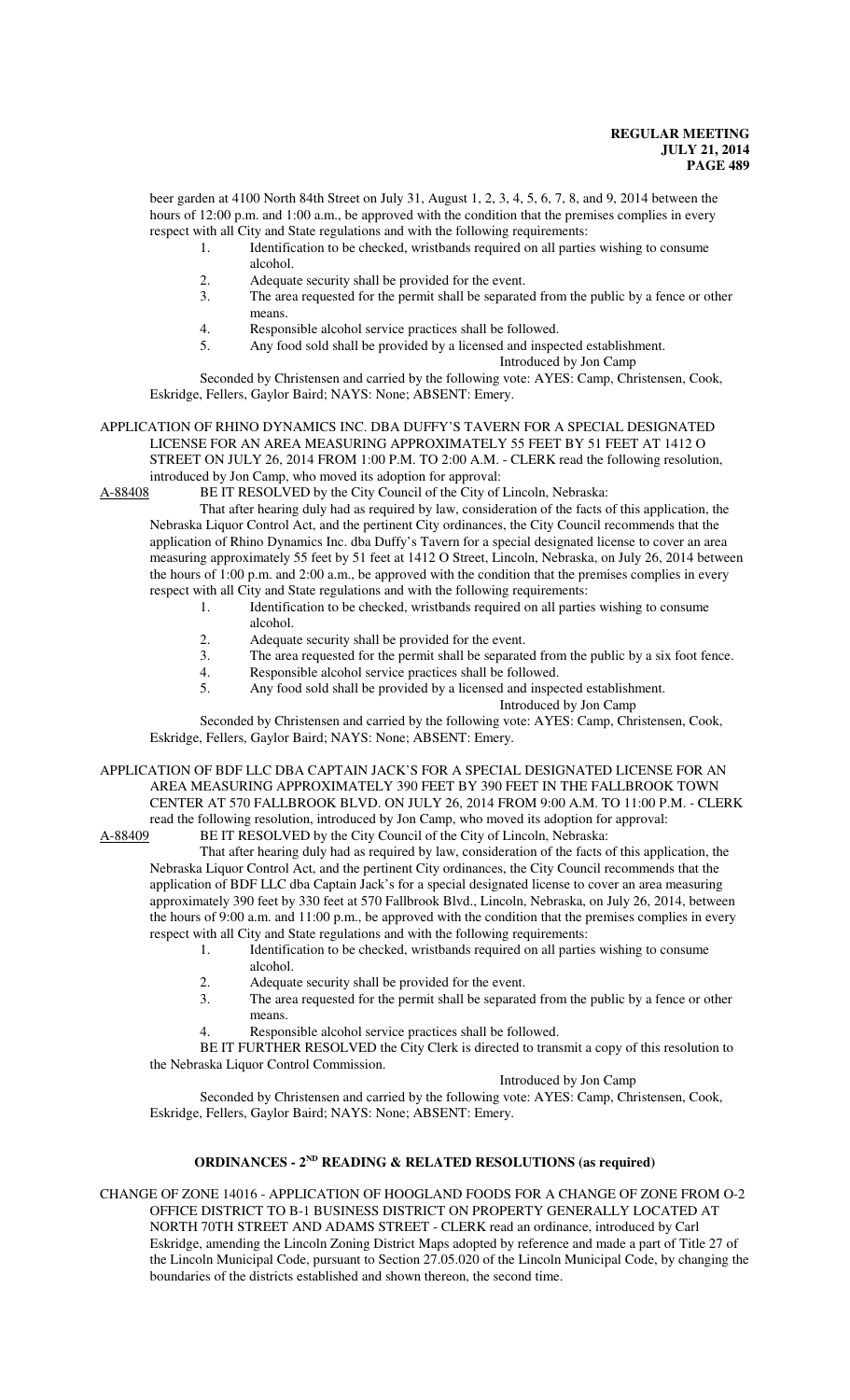beer garden at 4100 North 84th Street on July 31, August 1, 2, 3, 4, 5, 6, 7, 8, and 9, 2014 between the hours of 12:00 p.m. and 1:00 a.m., be approved with the condition that the premises complies in every respect with all City and State regulations and with the following requirements:

1. Identification to be checked, wristbands required on all parties wishing to consume alcohol.

- 2. Adequate security shall be provided for the event.<br>3 The area requested for the permit shall be separate
- The area requested for the permit shall be separated from the public by a fence or other means.
- 4. Responsible alcohol service practices shall be followed.<br>5. Any food sold shall be provided by a licensed and inspea
	- Any food sold shall be provided by a licensed and inspected establishment.

Introduced by Jon Camp

Seconded by Christensen and carried by the following vote: AYES: Camp, Christensen, Cook, Eskridge, Fellers, Gaylor Baird; NAYS: None; ABSENT: Emery.

#### APPLICATION OF RHINO DYNAMICS INC. DBA DUFFY'S TAVERN FOR A SPECIAL DESIGNATED LICENSE FOR AN AREA MEASURING APPROXIMATELY 55 FEET BY 51 FEET AT 1412 O STREET ON JULY 26, 2014 FROM 1:00 P.M. TO 2:00 A.M. - CLERK read the following resolution, introduced by Jon Camp, who moved its adoption for approval:

A-88408 BE IT RESOLVED by the City Council of the City of Lincoln, Nebraska:

That after hearing duly had as required by law, consideration of the facts of this application, the Nebraska Liquor Control Act, and the pertinent City ordinances, the City Council recommends that the application of Rhino Dynamics Inc. dba Duffy's Tavern for a special designated license to cover an area measuring approximately 55 feet by 51 feet at 1412 O Street, Lincoln, Nebraska, on July 26, 2014 between the hours of 1:00 p.m. and 2:00 a.m., be approved with the condition that the premises complies in every respect with all City and State regulations and with the following requirements:

- 1. Identification to be checked, wristbands required on all parties wishing to consume alcohol.
- 2. Adequate security shall be provided for the event.<br>3 The area requested for the permit shall be separate
- 3. The area requested for the permit shall be separated from the public by a six foot fence.<br>4. Responsible alcohol service practices shall be followed.
- 4. Responsible alcohol service practices shall be followed.<br>5. Any food sold shall be provided by a licensed and insper
- Any food sold shall be provided by a licensed and inspected establishment.

Introduced by Jon Camp

Seconded by Christensen and carried by the following vote: AYES: Camp, Christensen, Cook, Eskridge, Fellers, Gaylor Baird; NAYS: None; ABSENT: Emery.

APPLICATION OF BDF LLC DBA CAPTAIN JACK'S FOR A SPECIAL DESIGNATED LICENSE FOR AN AREA MEASURING APPROXIMATELY 390 FEET BY 390 FEET IN THE FALLBROOK TOWN CENTER AT 570 FALLBROOK BLVD. ON JULY 26, 2014 FROM 9:00 A.M. TO 11:00 P.M. - CLERK read the following resolution, introduced by Jon Camp, who moved its adoption for approval:

A-88409 BE IT RESOLVED by the City Council of the City of Lincoln, Nebraska:

That after hearing duly had as required by law, consideration of the facts of this application, the Nebraska Liquor Control Act, and the pertinent City ordinances, the City Council recommends that the application of BDF LLC dba Captain Jack's for a special designated license to cover an area measuring approximately 390 feet by 330 feet at 570 Fallbrook Blvd., Lincoln, Nebraska, on July 26, 2014, between the hours of 9:00 a.m. and 11:00 p.m., be approved with the condition that the premises complies in every respect with all City and State regulations and with the following requirements:

- 1. Identification to be checked, wristbands required on all parties wishing to consume alcohol.
	- 2. Adequate security shall be provided for the event.
	- 3. The area requested for the permit shall be separated from the public by a fence or other means.
	- Responsible alcohol service practices shall be followed.

BE IT FURTHER RESOLVED the City Clerk is directed to transmit a copy of this resolution to the Nebraska Liquor Control Commission.

#### Introduced by Jon Camp

Seconded by Christensen and carried by the following vote: AYES: Camp, Christensen, Cook, Eskridge, Fellers, Gaylor Baird; NAYS: None; ABSENT: Emery.

# **ORDINANCES - 2ND READING & RELATED RESOLUTIONS (as required)**

CHANGE OF ZONE 14016 - APPLICATION OF HOOGLAND FOODS FOR A CHANGE OF ZONE FROM O-2 OFFICE DISTRICT TO B-1 BUSINESS DISTRICT ON PROPERTY GENERALLY LOCATED AT NORTH 70TH STREET AND ADAMS STREET - CLERK read an ordinance, introduced by Carl Eskridge, amending the Lincoln Zoning District Maps adopted by reference and made a part of Title 27 of the Lincoln Municipal Code, pursuant to Section 27.05.020 of the Lincoln Municipal Code, by changing the boundaries of the districts established and shown thereon, the second time.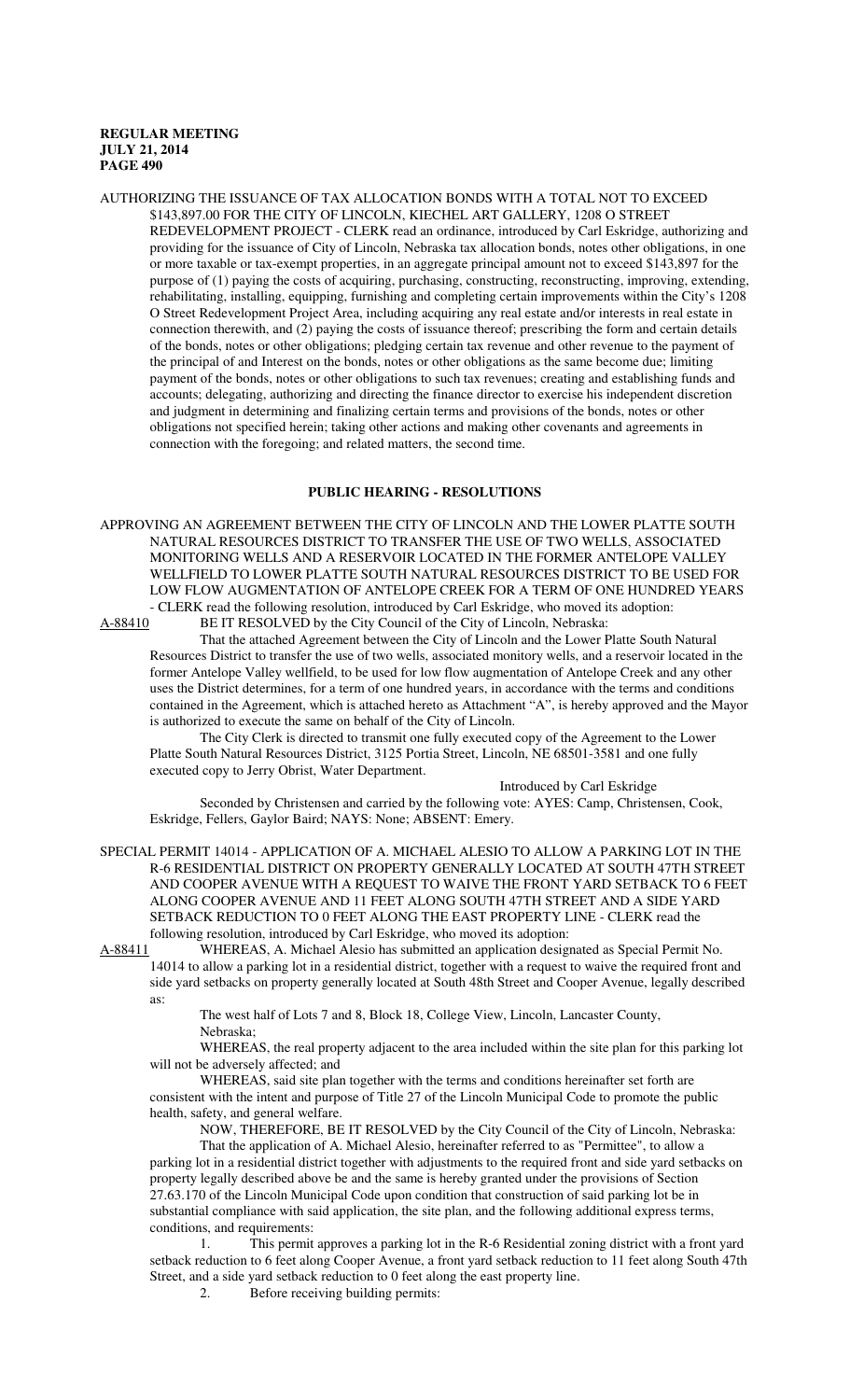AUTHORIZING THE ISSUANCE OF TAX ALLOCATION BONDS WITH A TOTAL NOT TO EXCEED \$143,897.00 FOR THE CITY OF LINCOLN, KIECHEL ART GALLERY, 1208 O STREET REDEVELOPMENT PROJECT - CLERK read an ordinance, introduced by Carl Eskridge, authorizing and providing for the issuance of City of Lincoln, Nebraska tax allocation bonds, notes other obligations, in one or more taxable or tax-exempt properties, in an aggregate principal amount not to exceed \$143,897 for the purpose of (1) paying the costs of acquiring, purchasing, constructing, reconstructing, improving, extending, rehabilitating, installing, equipping, furnishing and completing certain improvements within the City's 1208 O Street Redevelopment Project Area, including acquiring any real estate and/or interests in real estate in connection therewith, and (2) paying the costs of issuance thereof; prescribing the form and certain details of the bonds, notes or other obligations; pledging certain tax revenue and other revenue to the payment of the principal of and Interest on the bonds, notes or other obligations as the same become due; limiting payment of the bonds, notes or other obligations to such tax revenues; creating and establishing funds and accounts; delegating, authorizing and directing the finance director to exercise his independent discretion and judgment in determining and finalizing certain terms and provisions of the bonds, notes or other obligations not specified herein; taking other actions and making other covenants and agreements in connection with the foregoing; and related matters, the second time.

# **PUBLIC HEARING - RESOLUTIONS**

APPROVING AN AGREEMENT BETWEEN THE CITY OF LINCOLN AND THE LOWER PLATTE SOUTH NATURAL RESOURCES DISTRICT TO TRANSFER THE USE OF TWO WELLS, ASSOCIATED MONITORING WELLS AND A RESERVOIR LOCATED IN THE FORMER ANTELOPE VALLEY WELLFIELD TO LOWER PLATTE SOUTH NATURAL RESOURCES DISTRICT TO BE USED FOR LOW FLOW AUGMENTATION OF ANTELOPE CREEK FOR A TERM OF ONE HUNDRED YEARS - CLERK read the following resolution, introduced by Carl Eskridge, who moved its adoption:

A-88410 BE IT RESOLVED by the City Council of the City of Lincoln, Nebraska:

That the attached Agreement between the City of Lincoln and the Lower Platte South Natural Resources District to transfer the use of two wells, associated monitory wells, and a reservoir located in the former Antelope Valley wellfield, to be used for low flow augmentation of Antelope Creek and any other uses the District determines, for a term of one hundred years, in accordance with the terms and conditions contained in the Agreement, which is attached hereto as Attachment "A", is hereby approved and the Mayor is authorized to execute the same on behalf of the City of Lincoln.

The City Clerk is directed to transmit one fully executed copy of the Agreement to the Lower Platte South Natural Resources District, 3125 Portia Street, Lincoln, NE 68501-3581 and one fully executed copy to Jerry Obrist, Water Department.

Introduced by Carl Eskridge

Seconded by Christensen and carried by the following vote: AYES: Camp, Christensen, Cook, Eskridge, Fellers, Gaylor Baird; NAYS: None; ABSENT: Emery.

SPECIAL PERMIT 14014 - APPLICATION OF A. MICHAEL ALESIO TO ALLOW A PARKING LOT IN THE R-6 RESIDENTIAL DISTRICT ON PROPERTY GENERALLY LOCATED AT SOUTH 47TH STREET AND COOPER AVENUE WITH A REQUEST TO WAIVE THE FRONT YARD SETBACK TO 6 FEET ALONG COOPER AVENUE AND 11 FEET ALONG SOUTH 47TH STREET AND A SIDE YARD SETBACK REDUCTION TO 0 FEET ALONG THE EAST PROPERTY LINE - CLERK read the following resolution, introduced by Carl Eskridge, who moved its adoption:

A-88411 WHEREAS, A. Michael Alesio has submitted an application designated as Special Permit No. 14014 to allow a parking lot in a residential district, together with a request to waive the required front and side yard setbacks on property generally located at South 48th Street and Cooper Avenue, legally described as:

The west half of Lots 7 and 8, Block 18, College View, Lincoln, Lancaster County, Nebraska;

WHEREAS, the real property adjacent to the area included within the site plan for this parking lot will not be adversely affected; and

WHEREAS, said site plan together with the terms and conditions hereinafter set forth are consistent with the intent and purpose of Title 27 of the Lincoln Municipal Code to promote the public health, safety, and general welfare.

NOW, THEREFORE, BE IT RESOLVED by the City Council of the City of Lincoln, Nebraska: That the application of A. Michael Alesio, hereinafter referred to as "Permittee", to allow a parking lot in a residential district together with adjustments to the required front and side yard setbacks on property legally described above be and the same is hereby granted under the provisions of Section 27.63.170 of the Lincoln Municipal Code upon condition that construction of said parking lot be in substantial compliance with said application, the site plan, and the following additional express terms, conditions, and requirements:

1. This permit approves a parking lot in the R-6 Residential zoning district with a front yard setback reduction to 6 feet along Cooper Avenue, a front yard setback reduction to 11 feet along South 47th Street, and a side yard setback reduction to 0 feet along the east property line.

2. Before receiving building permits: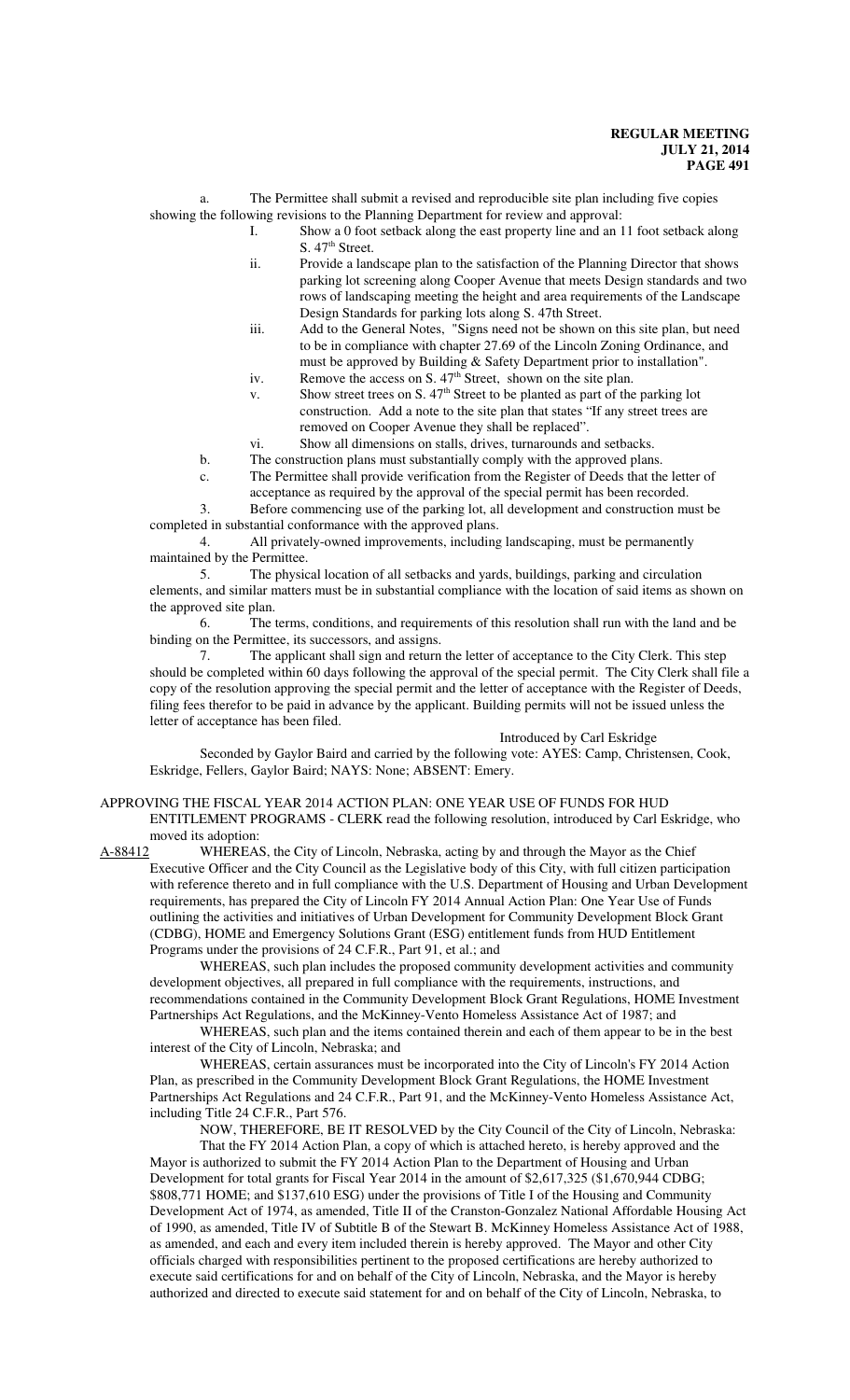a. The Permittee shall submit a revised and reproducible site plan including five copies showing the following revisions to the Planning Department for review and approval:

- I. Show a 0 foot setback along the east property line and an 11 foot setback along S. 47<sup>th</sup> Street.
- ii. Provide a landscape plan to the satisfaction of the Planning Director that shows parking lot screening along Cooper Avenue that meets Design standards and two rows of landscaping meeting the height and area requirements of the Landscape Design Standards for parking lots along S. 47th Street.
- iii. Add to the General Notes, "Signs need not be shown on this site plan, but need to be in compliance with chapter 27.69 of the Lincoln Zoning Ordinance, and must be approved by Building & Safety Department prior to installation".
- iv. Remove the access on S.  $47<sup>th</sup>$  Street, shown on the site plan.
- v. Show street trees on S.  $47<sup>th</sup>$  Street to be planted as part of the parking lot construction. Add a note to the site plan that states "If any street trees are removed on Cooper Avenue they shall be replaced".
- vi. Show all dimensions on stalls, drives, turnarounds and setbacks.

b. The construction plans must substantially comply with the approved plans.

c. The Permittee shall provide verification from the Register of Deeds that the letter of

acceptance as required by the approval of the special permit has been recorded. 3. Before commencing use of the parking lot, all development and construction must be

completed in substantial conformance with the approved plans.

4. All privately-owned improvements, including landscaping, must be permanently maintained by the Permittee.

5. The physical location of all setbacks and yards, buildings, parking and circulation elements, and similar matters must be in substantial compliance with the location of said items as shown on the approved site plan.

6. The terms, conditions, and requirements of this resolution shall run with the land and be binding on the Permittee, its successors, and assigns.

7. The applicant shall sign and return the letter of acceptance to the City Clerk. This step should be completed within 60 days following the approval of the special permit. The City Clerk shall file a copy of the resolution approving the special permit and the letter of acceptance with the Register of Deeds, filing fees therefor to be paid in advance by the applicant. Building permits will not be issued unless the letter of acceptance has been filed.

## Introduced by Carl Eskridge

Seconded by Gaylor Baird and carried by the following vote: AYES: Camp, Christensen, Cook, Eskridge, Fellers, Gaylor Baird; NAYS: None; ABSENT: Emery.

#### APPROVING THE FISCAL YEAR 2014 ACTION PLAN: ONE YEAR USE OF FUNDS FOR HUD ENTITLEMENT PROGRAMS - CLERK read the following resolution, introduced by Carl Eskridge, who moved its adoption:

A-88412 WHEREAS, the City of Lincoln, Nebraska, acting by and through the Mayor as the Chief Executive Officer and the City Council as the Legislative body of this City, with full citizen participation with reference thereto and in full compliance with the U.S. Department of Housing and Urban Development requirements, has prepared the City of Lincoln FY 2014 Annual Action Plan: One Year Use of Funds outlining the activities and initiatives of Urban Development for Community Development Block Grant (CDBG), HOME and Emergency Solutions Grant (ESG) entitlement funds from HUD Entitlement Programs under the provisions of 24 C.F.R., Part 91, et al.; and

WHEREAS, such plan includes the proposed community development activities and community development objectives, all prepared in full compliance with the requirements, instructions, and recommendations contained in the Community Development Block Grant Regulations, HOME Investment Partnerships Act Regulations, and the McKinney-Vento Homeless Assistance Act of 1987; and

WHEREAS, such plan and the items contained therein and each of them appear to be in the best interest of the City of Lincoln, Nebraska; and

WHEREAS, certain assurances must be incorporated into the City of Lincoln's FY 2014 Action Plan, as prescribed in the Community Development Block Grant Regulations, the HOME Investment Partnerships Act Regulations and 24 C.F.R., Part 91, and the McKinney-Vento Homeless Assistance Act, including Title 24 C.F.R., Part 576.

NOW, THEREFORE, BE IT RESOLVED by the City Council of the City of Lincoln, Nebraska: That the FY 2014 Action Plan, a copy of which is attached hereto, is hereby approved and the Mayor is authorized to submit the FY 2014 Action Plan to the Department of Housing and Urban Development for total grants for Fiscal Year 2014 in the amount of \$2,617,325 (\$1,670,944 CDBG; \$808,771 HOME; and \$137,610 ESG) under the provisions of Title I of the Housing and Community Development Act of 1974, as amended, Title II of the Cranston-Gonzalez National Affordable Housing Act of 1990, as amended, Title IV of Subtitle B of the Stewart B. McKinney Homeless Assistance Act of 1988, as amended, and each and every item included therein is hereby approved. The Mayor and other City officials charged with responsibilities pertinent to the proposed certifications are hereby authorized to execute said certifications for and on behalf of the City of Lincoln, Nebraska, and the Mayor is hereby authorized and directed to execute said statement for and on behalf of the City of Lincoln, Nebraska, to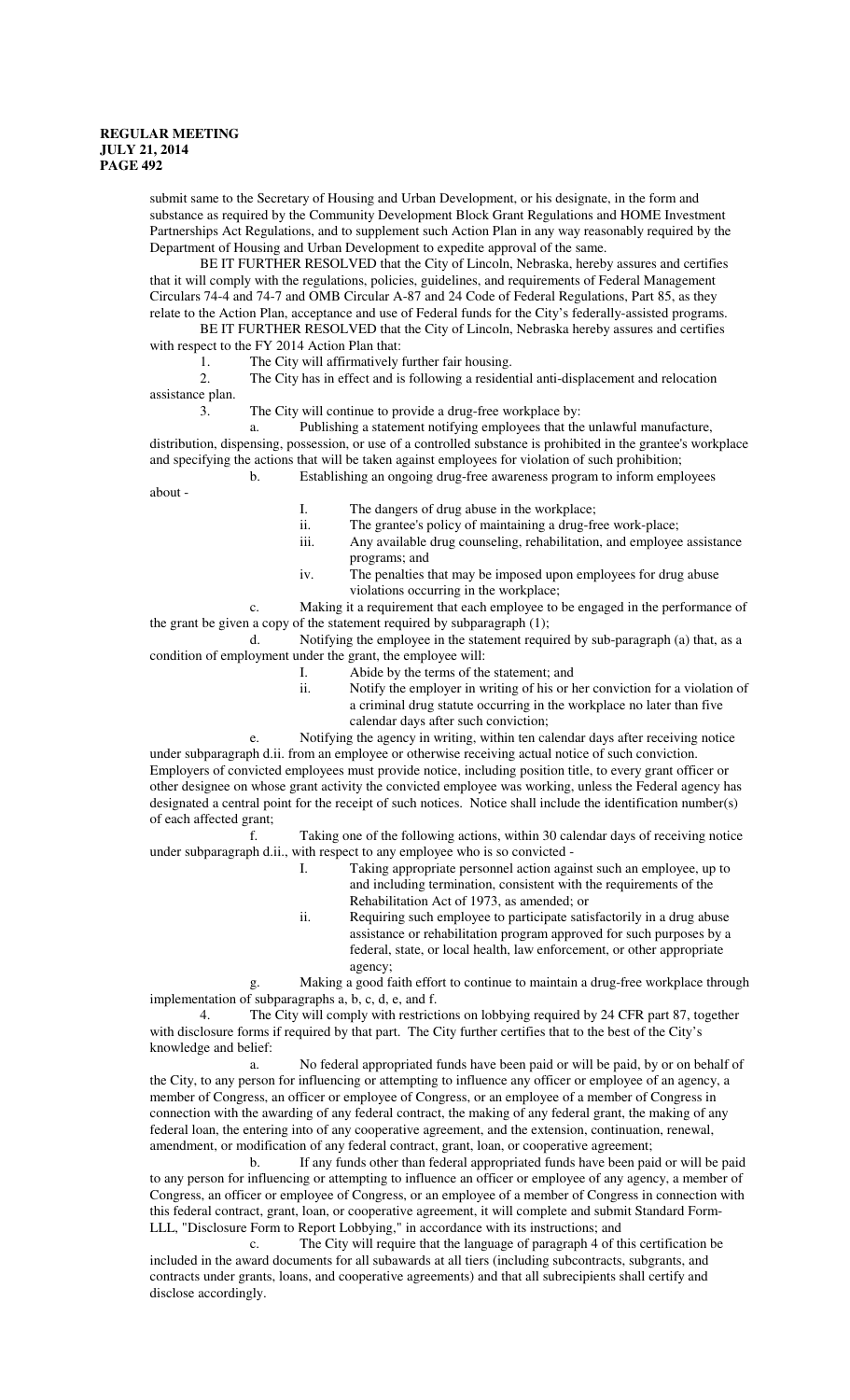submit same to the Secretary of Housing and Urban Development, or his designate, in the form and substance as required by the Community Development Block Grant Regulations and HOME Investment Partnerships Act Regulations, and to supplement such Action Plan in any way reasonably required by the Department of Housing and Urban Development to expedite approval of the same.

BE IT FURTHER RESOLVED that the City of Lincoln, Nebraska, hereby assures and certifies that it will comply with the regulations, policies, guidelines, and requirements of Federal Management Circulars 74-4 and 74-7 and OMB Circular A-87 and 24 Code of Federal Regulations, Part 85, as they relate to the Action Plan, acceptance and use of Federal funds for the City's federally-assisted programs.

BE IT FURTHER RESOLVED that the City of Lincoln, Nebraska hereby assures and certifies with respect to the FY 2014 Action Plan that:

1. The City will affirmatively further fair housing.

2. The City has in effect and is following a residential anti-displacement and relocation assistance plan.

3. The City will continue to provide a drug-free workplace by:

Publishing a statement notifying employees that the unlawful manufacture, distribution, dispensing, possession, or use of a controlled substance is prohibited in the grantee's workplace and specifying the actions that will be taken against employees for violation of such prohibition;

b. Establishing an ongoing drug-free awareness program to inform employees

about -

- I. The dangers of drug abuse in the workplace;
- ii. The grantee's policy of maintaining a drug-free work-place;<br>iii. Any available drug counseling, rehabilitation, and employee
- Any available drug counseling, rehabilitation, and employee assistance programs; and
- iv. The penalties that may be imposed upon employees for drug abuse violations occurring in the workplace;

c. Making it a requirement that each employee to be engaged in the performance of the grant be given a copy of the statement required by subparagraph (1);

d. Notifying the employee in the statement required by sub-paragraph (a) that, as a condition of employment under the grant, the employee will:

- I. Abide by the terms of the statement; and
- ii. Notify the employer in writing of his or her conviction for a violation of a criminal drug statute occurring in the workplace no later than five calendar days after such conviction;
- e. Notifying the agency in writing, within ten calendar days after receiving notice

under subparagraph d.ii. from an employee or otherwise receiving actual notice of such conviction. Employers of convicted employees must provide notice, including position title, to every grant officer or other designee on whose grant activity the convicted employee was working, unless the Federal agency has designated a central point for the receipt of such notices. Notice shall include the identification number(s) of each affected grant;

f. Taking one of the following actions, within 30 calendar days of receiving notice under subparagraph d.ii., with respect to any employee who is so convicted -

- I. Taking appropriate personnel action against such an employee, up to and including termination, consistent with the requirements of the Rehabilitation Act of 1973, as amended; or
- ii. Requiring such employee to participate satisfactorily in a drug abuse assistance or rehabilitation program approved for such purposes by a federal, state, or local health, law enforcement, or other appropriate agency;

g. Making a good faith effort to continue to maintain a drug-free workplace through implementation of subparagraphs a, b, c, d, e, and f.

4. The City will comply with restrictions on lobbying required by 24 CFR part 87, together with disclosure forms if required by that part. The City further certifies that to the best of the City's knowledge and belief:

a. No federal appropriated funds have been paid or will be paid, by or on behalf of the City, to any person for influencing or attempting to influence any officer or employee of an agency, a member of Congress, an officer or employee of Congress, or an employee of a member of Congress in connection with the awarding of any federal contract, the making of any federal grant, the making of any federal loan, the entering into of any cooperative agreement, and the extension, continuation, renewal, amendment, or modification of any federal contract, grant, loan, or cooperative agreement;

b. If any funds other than federal appropriated funds have been paid or will be paid to any person for influencing or attempting to influence an officer or employee of any agency, a member of Congress, an officer or employee of Congress, or an employee of a member of Congress in connection with this federal contract, grant, loan, or cooperative agreement, it will complete and submit Standard Form-LLL, "Disclosure Form to Report Lobbying," in accordance with its instructions; and

c. The City will require that the language of paragraph 4 of this certification be included in the award documents for all subawards at all tiers (including subcontracts, subgrants, and contracts under grants, loans, and cooperative agreements) and that all subrecipients shall certify and disclose accordingly.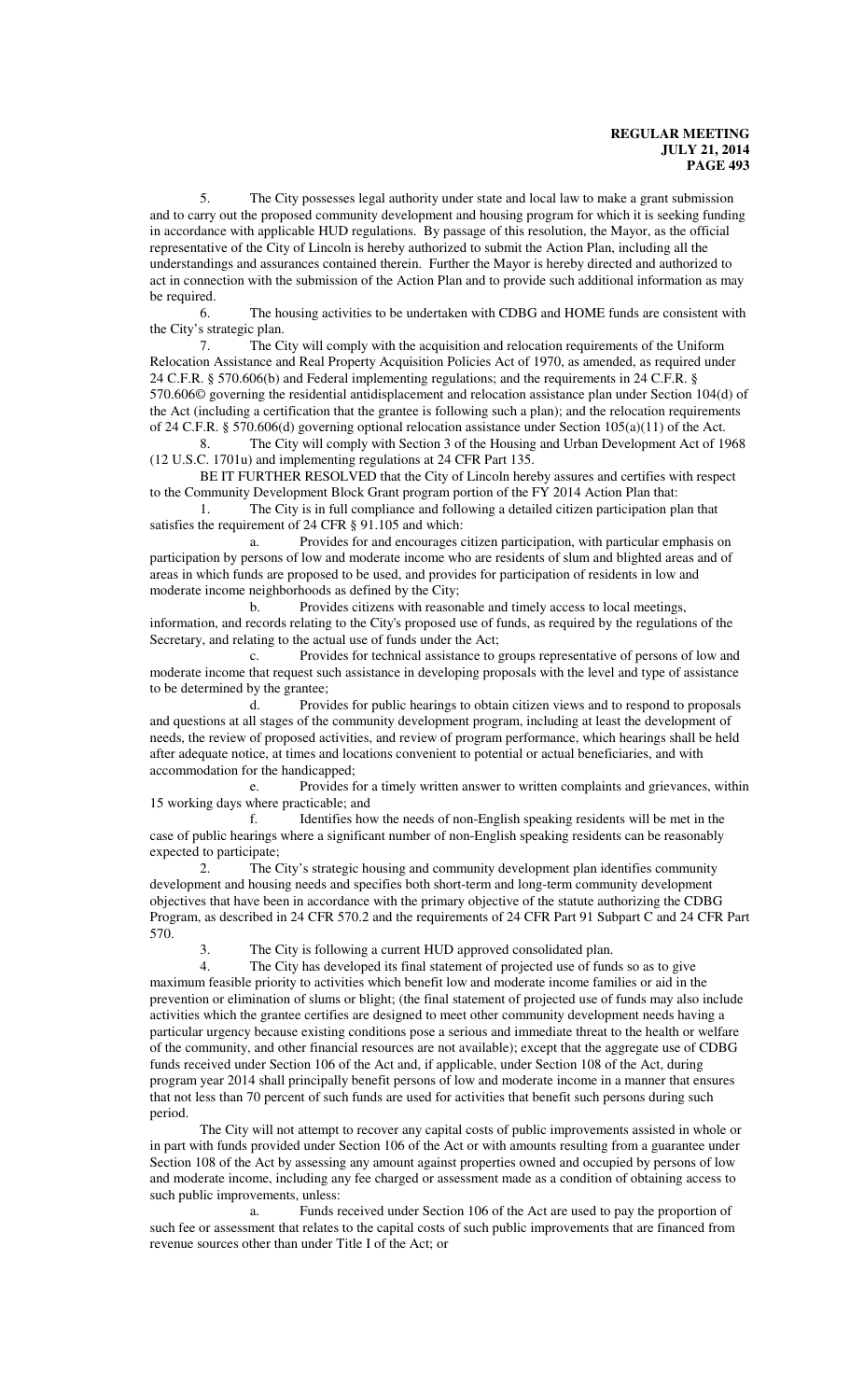5. The City possesses legal authority under state and local law to make a grant submission and to carry out the proposed community development and housing program for which it is seeking funding in accordance with applicable HUD regulations. By passage of this resolution, the Mayor, as the official representative of the City of Lincoln is hereby authorized to submit the Action Plan, including all the understandings and assurances contained therein. Further the Mayor is hereby directed and authorized to act in connection with the submission of the Action Plan and to provide such additional information as may be required.

6. The housing activities to be undertaken with CDBG and HOME funds are consistent with the City's strategic plan.

7. The City will comply with the acquisition and relocation requirements of the Uniform Relocation Assistance and Real Property Acquisition Policies Act of 1970, as amended, as required under 24 C.F.R. § 570.606(b) and Federal implementing regulations; and the requirements in 24 C.F.R. § 570.606© governing the residential antidisplacement and relocation assistance plan under Section 104(d) of the Act (including a certification that the grantee is following such a plan); and the relocation requirements of 24 C.F.R. § 570.606(d) governing optional relocation assistance under Section 105(a)(11) of the Act.

8. The City will comply with Section 3 of the Housing and Urban Development Act of 1968 (12 U.S.C. 1701u) and implementing regulations at 24 CFR Part 135.

BE IT FURTHER RESOLVED that the City of Lincoln hereby assures and certifies with respect to the Community Development Block Grant program portion of the FY 2014 Action Plan that:

1. The City is in full compliance and following a detailed citizen participation plan that satisfies the requirement of 24 CFR § 91.105 and which:

a. Provides for and encourages citizen participation, with particular emphasis on participation by persons of low and moderate income who are residents of slum and blighted areas and of areas in which funds are proposed to be used, and provides for participation of residents in low and moderate income neighborhoods as defined by the City;

b. Provides citizens with reasonable and timely access to local meetings, information, and records relating to the City's proposed use of funds, as required by the regulations of the Secretary, and relating to the actual use of funds under the Act;

c. Provides for technical assistance to groups representative of persons of low and moderate income that request such assistance in developing proposals with the level and type of assistance to be determined by the grantee;

d. Provides for public hearings to obtain citizen views and to respond to proposals and questions at all stages of the community development program, including at least the development of needs, the review of proposed activities, and review of program performance, which hearings shall be held after adequate notice, at times and locations convenient to potential or actual beneficiaries, and with accommodation for the handicapped;

e. Provides for a timely written answer to written complaints and grievances, within 15 working days where practicable; and

f. Identifies how the needs of non-English speaking residents will be met in the case of public hearings where a significant number of non-English speaking residents can be reasonably expected to participate;

2. The City's strategic housing and community development plan identifies community development and housing needs and specifies both short-term and long-term community development objectives that have been in accordance with the primary objective of the statute authorizing the CDBG Program, as described in 24 CFR 570.2 and the requirements of 24 CFR Part 91 Subpart C and 24 CFR Part 570.

The City is following a current HUD approved consolidated plan.

4. The City has developed its final statement of projected use of funds so as to give maximum feasible priority to activities which benefit low and moderate income families or aid in the prevention or elimination of slums or blight; (the final statement of projected use of funds may also include activities which the grantee certifies are designed to meet other community development needs having a particular urgency because existing conditions pose a serious and immediate threat to the health or welfare of the community, and other financial resources are not available); except that the aggregate use of CDBG funds received under Section 106 of the Act and, if applicable, under Section 108 of the Act, during program year 2014 shall principally benefit persons of low and moderate income in a manner that ensures that not less than 70 percent of such funds are used for activities that benefit such persons during such period.

The City will not attempt to recover any capital costs of public improvements assisted in whole or in part with funds provided under Section 106 of the Act or with amounts resulting from a guarantee under Section 108 of the Act by assessing any amount against properties owned and occupied by persons of low and moderate income, including any fee charged or assessment made as a condition of obtaining access to such public improvements, unless:

a. Funds received under Section 106 of the Act are used to pay the proportion of such fee or assessment that relates to the capital costs of such public improvements that are financed from revenue sources other than under Title I of the Act; or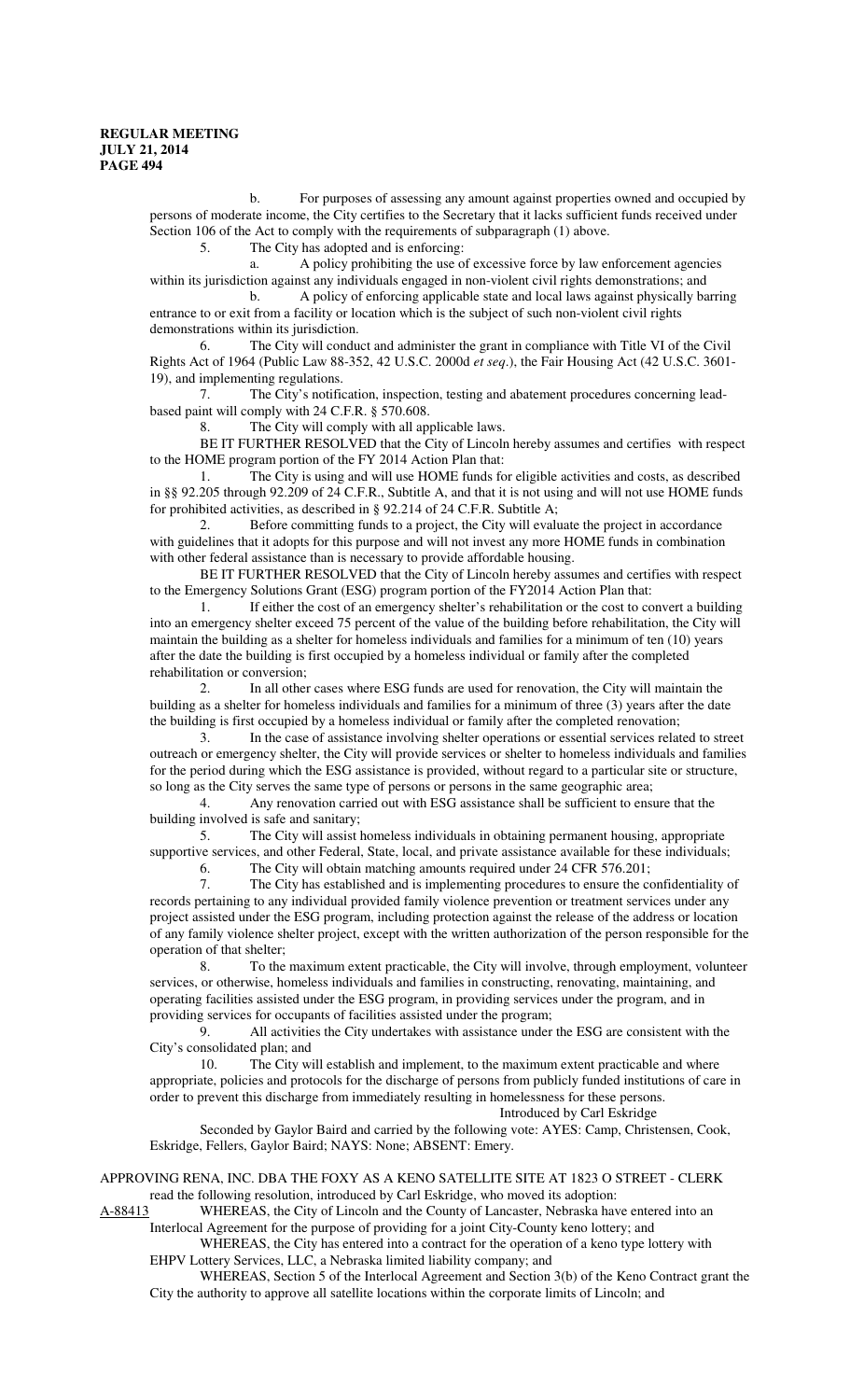b. For purposes of assessing any amount against properties owned and occupied by persons of moderate income, the City certifies to the Secretary that it lacks sufficient funds received under Section 106 of the Act to comply with the requirements of subparagraph (1) above.

5. The City has adopted and is enforcing:

a. A policy prohibiting the use of excessive force by law enforcement agencies within its jurisdiction against any individuals engaged in non-violent civil rights demonstrations; and

b. A policy of enforcing applicable state and local laws against physically barring entrance to or exit from a facility or location which is the subject of such non-violent civil rights demonstrations within its jurisdiction.

6. The City will conduct and administer the grant in compliance with Title VI of the Civil Rights Act of 1964 (Public Law 88-352, 42 U.S.C. 2000d *et seq*.), the Fair Housing Act (42 U.S.C. 3601- 19), and implementing regulations.

7. The City's notification, inspection, testing and abatement procedures concerning leadbased paint will comply with 24 C.F.R. § 570.608.

8. The City will comply with all applicable laws.

BE IT FURTHER RESOLVED that the City of Lincoln hereby assumes and certifies with respect to the HOME program portion of the FY 2014 Action Plan that:

1. The City is using and will use HOME funds for eligible activities and costs, as described in §§ 92.205 through 92.209 of 24 C.F.R., Subtitle A, and that it is not using and will not use HOME funds for prohibited activities, as described in § 92.214 of 24 C.F.R. Subtitle A;

2. Before committing funds to a project, the City will evaluate the project in accordance with guidelines that it adopts for this purpose and will not invest any more HOME funds in combination with other federal assistance than is necessary to provide affordable housing.

BE IT FURTHER RESOLVED that the City of Lincoln hereby assumes and certifies with respect to the Emergency Solutions Grant (ESG) program portion of the FY2014 Action Plan that:

1. If either the cost of an emergency shelter's rehabilitation or the cost to convert a building into an emergency shelter exceed 75 percent of the value of the building before rehabilitation, the City will maintain the building as a shelter for homeless individuals and families for a minimum of ten (10) years after the date the building is first occupied by a homeless individual or family after the completed rehabilitation or conversion;

2. In all other cases where ESG funds are used for renovation, the City will maintain the building as a shelter for homeless individuals and families for a minimum of three (3) years after the date the building is first occupied by a homeless individual or family after the completed renovation;

3. In the case of assistance involving shelter operations or essential services related to street outreach or emergency shelter, the City will provide services or shelter to homeless individuals and families for the period during which the ESG assistance is provided, without regard to a particular site or structure, so long as the City serves the same type of persons or persons in the same geographic area;

4. Any renovation carried out with ESG assistance shall be sufficient to ensure that the building involved is safe and sanitary;

5. The City will assist homeless individuals in obtaining permanent housing, appropriate supportive services, and other Federal, State, local, and private assistance available for these individuals;

6. The City will obtain matching amounts required under 24 CFR 576.201;

7. The City has established and is implementing procedures to ensure the confidentiality of records pertaining to any individual provided family violence prevention or treatment services under any project assisted under the ESG program, including protection against the release of the address or location of any family violence shelter project, except with the written authorization of the person responsible for the operation of that shelter;

8. To the maximum extent practicable, the City will involve, through employment, volunteer services, or otherwise, homeless individuals and families in constructing, renovating, maintaining, and operating facilities assisted under the ESG program, in providing services under the program, and in providing services for occupants of facilities assisted under the program;

9. All activities the City undertakes with assistance under the ESG are consistent with the City's consolidated plan; and

10. The City will establish and implement, to the maximum extent practicable and where appropriate, policies and protocols for the discharge of persons from publicly funded institutions of care in order to prevent this discharge from immediately resulting in homelessness for these persons.

Introduced by Carl Eskridge

Seconded by Gaylor Baird and carried by the following vote: AYES: Camp, Christensen, Cook, Eskridge, Fellers, Gaylor Baird; NAYS: None; ABSENT: Emery.

APPROVING RENA, INC. DBA THE FOXY AS A KENO SATELLITE SITE AT 1823 O STREET - CLERK read the following resolution, introduced by Carl Eskridge, who moved its adoption:

A-88413 WHEREAS, the City of Lincoln and the County of Lancaster, Nebraska have entered into an Interlocal Agreement for the purpose of providing for a joint City-County keno lottery; and

WHEREAS, the City has entered into a contract for the operation of a keno type lottery with EHPV Lottery Services, LLC, a Nebraska limited liability company; and

WHEREAS, Section 5 of the Interlocal Agreement and Section 3(b) of the Keno Contract grant the City the authority to approve all satellite locations within the corporate limits of Lincoln; and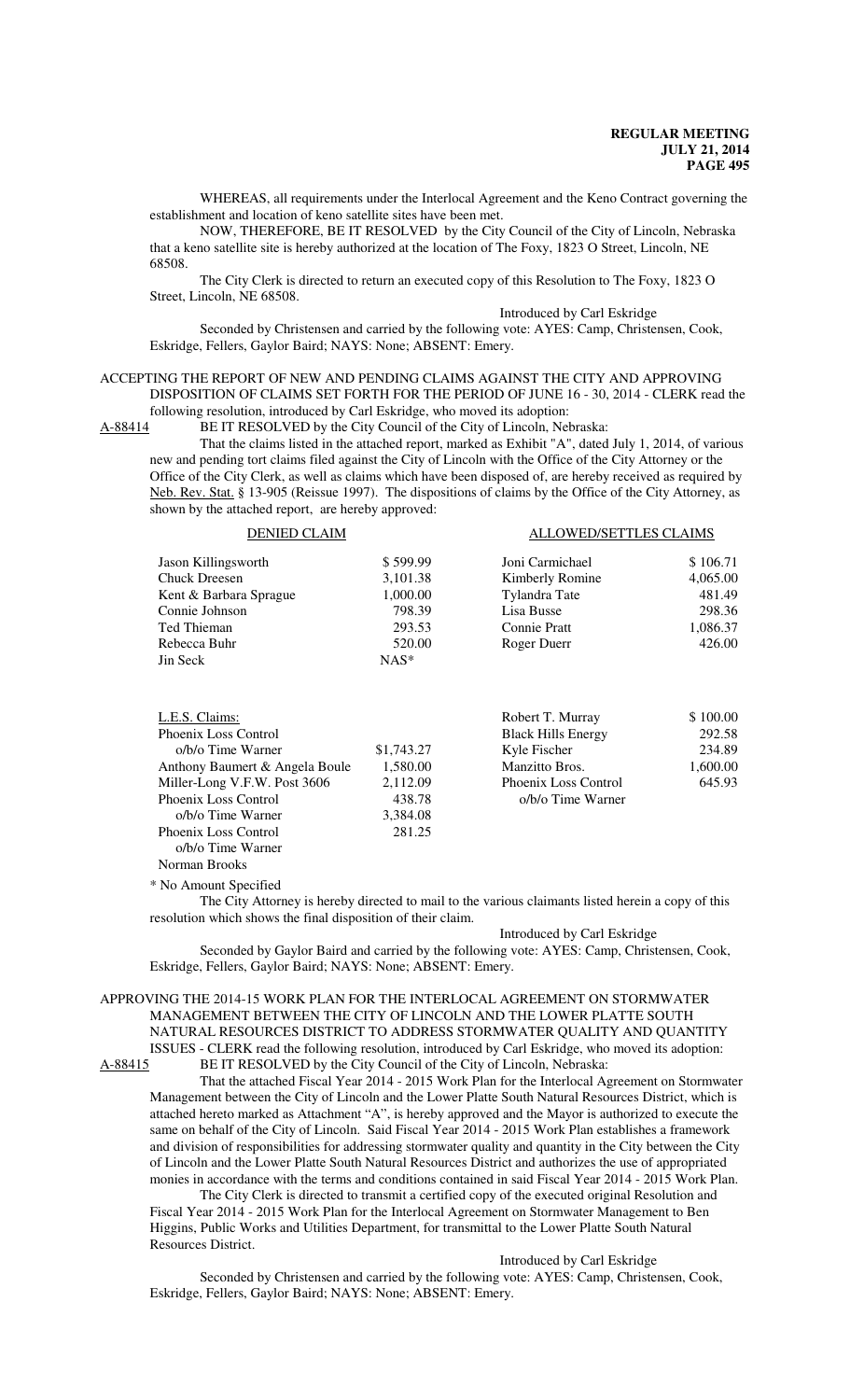WHEREAS, all requirements under the Interlocal Agreement and the Keno Contract governing the establishment and location of keno satellite sites have been met.

NOW, THEREFORE, BE IT RESOLVED by the City Council of the City of Lincoln, Nebraska that a keno satellite site is hereby authorized at the location of The Foxy, 1823 O Street, Lincoln, NE 68508.

The City Clerk is directed to return an executed copy of this Resolution to The Foxy, 1823 O Street, Lincoln, NE 68508.

Introduced by Carl Eskridge

Seconded by Christensen and carried by the following vote: AYES: Camp, Christensen, Cook, Eskridge, Fellers, Gaylor Baird; NAYS: None; ABSENT: Emery.

#### ACCEPTING THE REPORT OF NEW AND PENDING CLAIMS AGAINST THE CITY AND APPROVING DISPOSITION OF CLAIMS SET FORTH FOR THE PERIOD OF JUNE 16 - 30, 2014 - CLERK read the following resolution, introduced by Carl Eskridge, who moved its adoption:

A-88414 BE IT RESOLVED by the City Council of the City of Lincoln, Nebraska:

That the claims listed in the attached report, marked as Exhibit "A", dated July 1, 2014, of various new and pending tort claims filed against the City of Lincoln with the Office of the City Attorney or the Office of the City Clerk, as well as claims which have been disposed of, are hereby received as required by Neb. Rev. Stat. § 13-905 (Reissue 1997). The dispositions of claims by the Office of the City Attorney, as shown by the attached report, are hereby approved:

| <b>DENIED CLAIM</b>    |          | ALLOWED/SETTLES CLAIMS |          |
|------------------------|----------|------------------------|----------|
| Jason Killingsworth    | \$599.99 | Joni Carmichael        | \$106.71 |
| Chuck Dreesen          | 3,101.38 | Kimberly Romine        | 4,065.00 |
| Kent & Barbara Sprague | 1,000.00 | Tylandra Tate          | 481.49   |
| Connie Johnson         | 798.39   | Lisa Busse             | 298.36   |
| Ted Thieman            | 293.53   | <b>Connie Pratt</b>    | 1,086.37 |
| Rebecca Buhr           | 520.00   | Roger Duerr            | 426.00   |
| Jin Seck               | $NAS^*$  |                        |          |

| L.E.S. Claims:                 |            | Robert T. Murray          | \$100.00 |
|--------------------------------|------------|---------------------------|----------|
| Phoenix Loss Control           |            | <b>Black Hills Energy</b> | 292.58   |
| o/b/o Time Warner              | \$1,743.27 | Kyle Fischer              | 234.89   |
| Anthony Baumert & Angela Boule | 1,580.00   | Manzitto Bros.            | 1,600.00 |
| Miller-Long V.F.W. Post 3606   | 2,112.09   | Phoenix Loss Control      | 645.93   |
| Phoenix Loss Control           | 438.78     | o/b/o Time Warner         |          |
| o/b/o Time Warner              | 3,384.08   |                           |          |
| Phoenix Loss Control           | 281.25     |                           |          |
| o/b/o Time Warner              |            |                           |          |

\* No Amount Specified

Norman Brooks

The City Attorney is hereby directed to mail to the various claimants listed herein a copy of this resolution which shows the final disposition of their claim.

Introduced by Carl Eskridge

Seconded by Gaylor Baird and carried by the following vote: AYES: Camp, Christensen, Cook, Eskridge, Fellers, Gaylor Baird; NAYS: None; ABSENT: Emery.

#### APPROVING THE 2014-15 WORK PLAN FOR THE INTERLOCAL AGREEMENT ON STORMWATER MANAGEMENT BETWEEN THE CITY OF LINCOLN AND THE LOWER PLATTE SOUTH NATURAL RESOURCES DISTRICT TO ADDRESS STORMWATER QUALITY AND QUANTITY ISSUES - CLERK read the following resolution, introduced by Carl Eskridge, who moved its adoption:<br>A-88415 BE IT RESOLVED by the City Council of the City of Lincoln, Nebraska: BE IT RESOLVED by the City Council of the City of Lincoln, Nebraska:

That the attached Fiscal Year 2014 - 2015 Work Plan for the Interlocal Agreement on Stormwater Management between the City of Lincoln and the Lower Platte South Natural Resources District, which is attached hereto marked as Attachment "A", is hereby approved and the Mayor is authorized to execute the same on behalf of the City of Lincoln. Said Fiscal Year 2014 - 2015 Work Plan establishes a framework and division of responsibilities for addressing stormwater quality and quantity in the City between the City of Lincoln and the Lower Platte South Natural Resources District and authorizes the use of appropriated monies in accordance with the terms and conditions contained in said Fiscal Year 2014 - 2015 Work Plan.

The City Clerk is directed to transmit a certified copy of the executed original Resolution and Fiscal Year 2014 - 2015 Work Plan for the Interlocal Agreement on Stormwater Management to Ben Higgins, Public Works and Utilities Department, for transmittal to the Lower Platte South Natural Resources District.

Introduced by Carl Eskridge

Seconded by Christensen and carried by the following vote: AYES: Camp, Christensen, Cook, Eskridge, Fellers, Gaylor Baird; NAYS: None; ABSENT: Emery.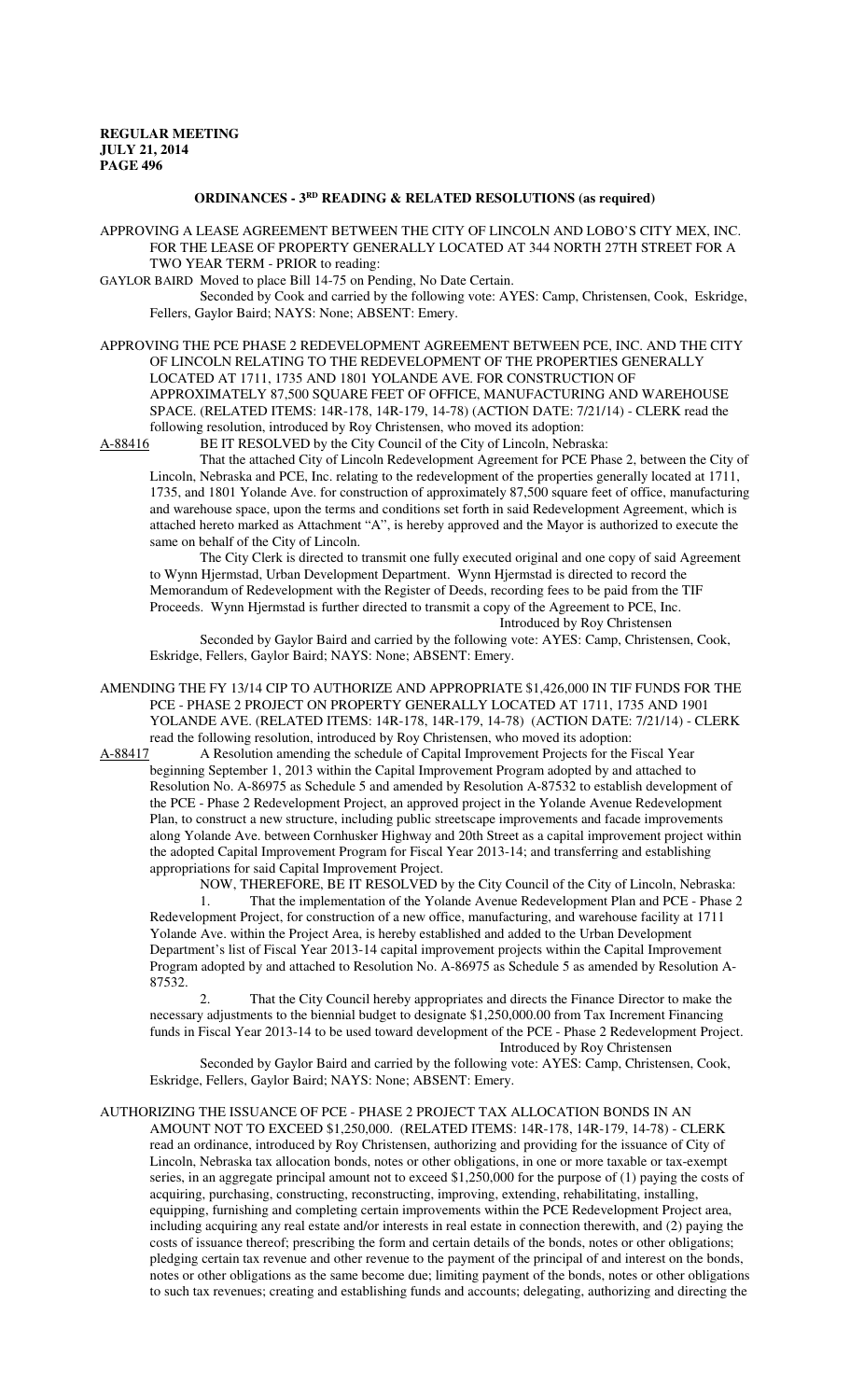# **ORDINANCES - 3RD READING & RELATED RESOLUTIONS (as required)**

APPROVING A LEASE AGREEMENT BETWEEN THE CITY OF LINCOLN AND LOBO'S CITY MEX, INC. FOR THE LEASE OF PROPERTY GENERALLY LOCATED AT 344 NORTH 27TH STREET FOR A TWO YEAR TERM - PRIOR to reading:

GAYLOR BAIRD Moved to place Bill 14-75 on Pending, No Date Certain.

Seconded by Cook and carried by the following vote: AYES: Camp, Christensen, Cook, Eskridge, Fellers, Gaylor Baird; NAYS: None; ABSENT: Emery.

APPROVING THE PCE PHASE 2 REDEVELOPMENT AGREEMENT BETWEEN PCE, INC. AND THE CITY OF LINCOLN RELATING TO THE REDEVELOPMENT OF THE PROPERTIES GENERALLY LOCATED AT 1711, 1735 AND 1801 YOLANDE AVE. FOR CONSTRUCTION OF APPROXIMATELY 87,500 SQUARE FEET OF OFFICE, MANUFACTURING AND WAREHOUSE SPACE. (RELATED ITEMS: 14R-178, 14R-179, 14-78) (ACTION DATE: 7/21/14) - CLERK read the

following resolution, introduced by Roy Christensen, who moved its adoption:<br>A-88416 BE IT RESOLVED by the City Council of the City of Lincoln, Nebras BE IT RESOLVED by the City Council of the City of Lincoln, Nebraska:

That the attached City of Lincoln Redevelopment Agreement for PCE Phase 2, between the City of Lincoln, Nebraska and PCE, Inc. relating to the redevelopment of the properties generally located at 1711, 1735, and 1801 Yolande Ave. for construction of approximately 87,500 square feet of office, manufacturing and warehouse space, upon the terms and conditions set forth in said Redevelopment Agreement, which is attached hereto marked as Attachment "A", is hereby approved and the Mayor is authorized to execute the

same on behalf of the City of Lincoln. The City Clerk is directed to transmit one fully executed original and one copy of said Agreement to Wynn Hjermstad, Urban Development Department. Wynn Hjermstad is directed to record the Memorandum of Redevelopment with the Register of Deeds, recording fees to be paid from the TIF Proceeds. Wynn Hjermstad is further directed to transmit a copy of the Agreement to PCE, Inc. Introduced by Roy Christensen

Seconded by Gaylor Baird and carried by the following vote: AYES: Camp, Christensen, Cook, Eskridge, Fellers, Gaylor Baird; NAYS: None; ABSENT: Emery.

AMENDING THE FY 13/14 CIP TO AUTHORIZE AND APPROPRIATE \$1,426,000 IN TIF FUNDS FOR THE PCE - PHASE 2 PROJECT ON PROPERTY GENERALLY LOCATED AT 1711, 1735 AND 1901 YOLANDE AVE. (RELATED ITEMS: 14R-178, 14R-179, 14-78) (ACTION DATE: 7/21/14) - CLERK read the following resolution, introduced by Roy Christensen, who moved its adoption:

A-88417 A Resolution amending the schedule of Capital Improvement Projects for the Fiscal Year beginning September 1, 2013 within the Capital Improvement Program adopted by and attached to Resolution No. A-86975 as Schedule 5 and amended by Resolution A-87532 to establish development of the PCE - Phase 2 Redevelopment Project, an approved project in the Yolande Avenue Redevelopment Plan, to construct a new structure, including public streetscape improvements and facade improvements along Yolande Ave. between Cornhusker Highway and 20th Street as a capital improvement project within the adopted Capital Improvement Program for Fiscal Year 2013-14; and transferring and establishing appropriations for said Capital Improvement Project.

NOW, THEREFORE, BE IT RESOLVED by the City Council of the City of Lincoln, Nebraska: 1. That the implementation of the Yolande Avenue Redevelopment Plan and PCE - Phase 2 Redevelopment Project, for construction of a new office, manufacturing, and warehouse facility at 1711 Yolande Ave. within the Project Area, is hereby established and added to the Urban Development Department's list of Fiscal Year 2013-14 capital improvement projects within the Capital Improvement Program adopted by and attached to Resolution No. A-86975 as Schedule 5 as amended by Resolution A-87532.

That the City Council hereby appropriates and directs the Finance Director to make the necessary adjustments to the biennial budget to designate \$1,250,000.00 from Tax Increment Financing funds in Fiscal Year 2013-14 to be used toward development of the PCE - Phase 2 Redevelopment Project. Introduced by Roy Christensen

Seconded by Gaylor Baird and carried by the following vote: AYES: Camp, Christensen, Cook, Eskridge, Fellers, Gaylor Baird; NAYS: None; ABSENT: Emery.

# AUTHORIZING THE ISSUANCE OF PCE - PHASE 2 PROJECT TAX ALLOCATION BONDS IN AN

AMOUNT NOT TO EXCEED \$1,250,000. (RELATED ITEMS: 14R-178, 14R-179, 14-78) - CLERK read an ordinance, introduced by Roy Christensen, authorizing and providing for the issuance of City of Lincoln, Nebraska tax allocation bonds, notes or other obligations, in one or more taxable or tax-exempt series, in an aggregate principal amount not to exceed \$1,250,000 for the purpose of (1) paying the costs of acquiring, purchasing, constructing, reconstructing, improving, extending, rehabilitating, installing, equipping, furnishing and completing certain improvements within the PCE Redevelopment Project area, including acquiring any real estate and/or interests in real estate in connection therewith, and (2) paying the costs of issuance thereof; prescribing the form and certain details of the bonds, notes or other obligations; pledging certain tax revenue and other revenue to the payment of the principal of and interest on the bonds, notes or other obligations as the same become due; limiting payment of the bonds, notes or other obligations to such tax revenues; creating and establishing funds and accounts; delegating, authorizing and directing the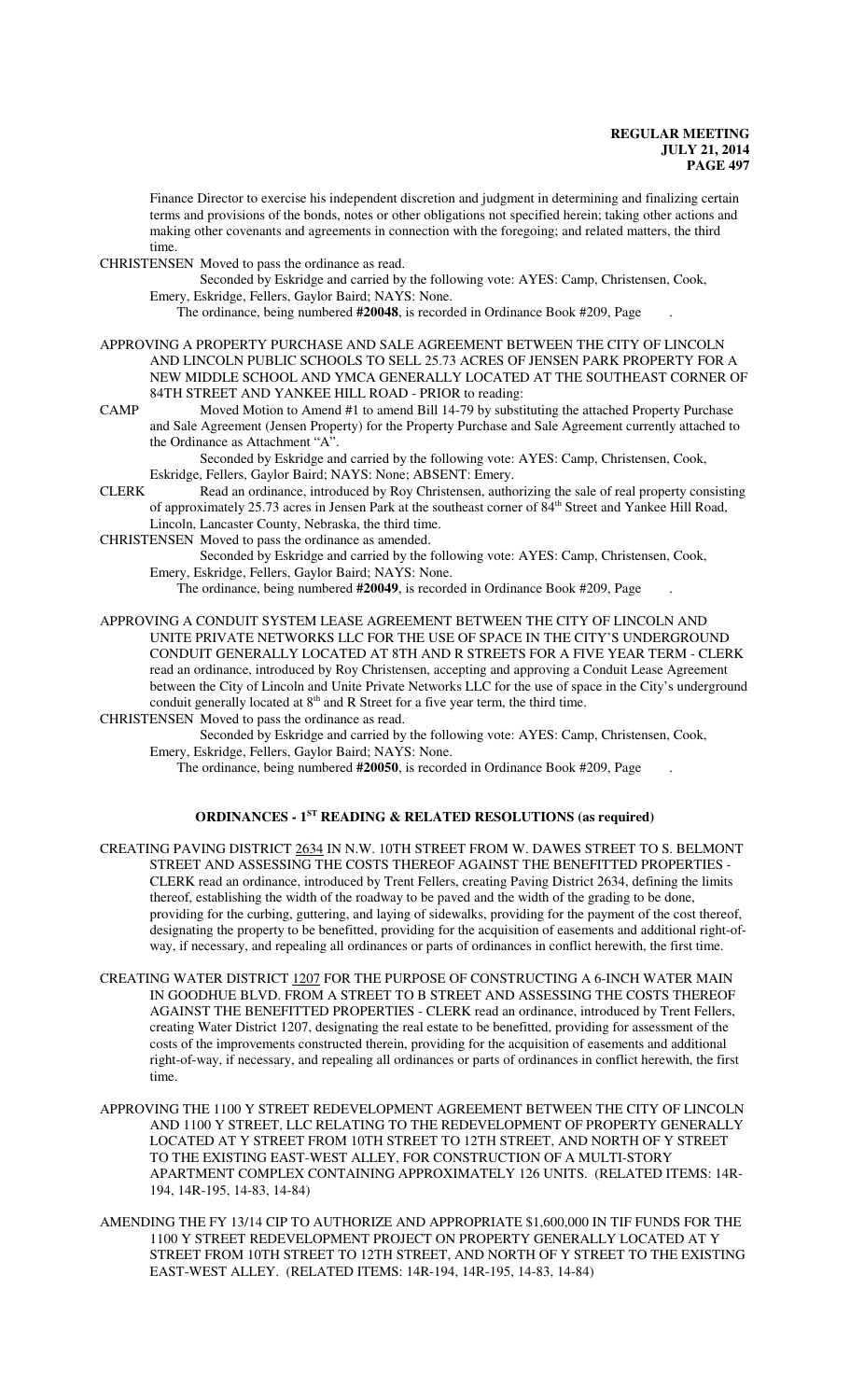Finance Director to exercise his independent discretion and judgment in determining and finalizing certain terms and provisions of the bonds, notes or other obligations not specified herein; taking other actions and making other covenants and agreements in connection with the foregoing; and related matters, the third time.

CHRISTENSEN Moved to pass the ordinance as read.

Seconded by Eskridge and carried by the following vote: AYES: Camp, Christensen, Cook, Emery, Eskridge, Fellers, Gaylor Baird; NAYS: None.

The ordinance, being numbered **#20048**, is recorded in Ordinance Book #209, Page .

- APPROVING A PROPERTY PURCHASE AND SALE AGREEMENT BETWEEN THE CITY OF LINCOLN AND LINCOLN PUBLIC SCHOOLS TO SELL 25.73 ACRES OF JENSEN PARK PROPERTY FOR A NEW MIDDLE SCHOOL AND YMCA GENERALLY LOCATED AT THE SOUTHEAST CORNER OF 84TH STREET AND YANKEE HILL ROAD - PRIOR to reading:
- CAMP Moved Motion to Amend #1 to amend Bill 14-79 by substituting the attached Property Purchase and Sale Agreement (Jensen Property) for the Property Purchase and Sale Agreement currently attached to the Ordinance as Attachment "A".

Seconded by Eskridge and carried by the following vote: AYES: Camp, Christensen, Cook, Eskridge, Fellers, Gaylor Baird; NAYS: None; ABSENT: Emery.

- CLERK Read an ordinance, introduced by Roy Christensen, authorizing the sale of real property consisting of approximately 25.73 acres in Jensen Park at the southeast corner of 84<sup>th</sup> Street and Yankee Hill Road, Lincoln, Lancaster County, Nebraska, the third time.
- CHRISTENSEN Moved to pass the ordinance as amended.

Seconded by Eskridge and carried by the following vote: AYES: Camp, Christensen, Cook, Emery, Eskridge, Fellers, Gaylor Baird; NAYS: None.

The ordinance, being numbered **#20049**, is recorded in Ordinance Book #209, Page .

APPROVING A CONDUIT SYSTEM LEASE AGREEMENT BETWEEN THE CITY OF LINCOLN AND UNITE PRIVATE NETWORKS LLC FOR THE USE OF SPACE IN THE CITY'S UNDERGROUND CONDUIT GENERALLY LOCATED AT 8TH AND R STREETS FOR A FIVE YEAR TERM - CLERK read an ordinance, introduced by Roy Christensen, accepting and approving a Conduit Lease Agreement between the City of Lincoln and Unite Private Networks LLC for the use of space in the City's underground conduit generally located at  $8<sup>th</sup>$  and R Street for a five year term, the third time.

CHRISTENSEN Moved to pass the ordinance as read.

Seconded by Eskridge and carried by the following vote: AYES: Camp, Christensen, Cook, Emery, Eskridge, Fellers, Gaylor Baird; NAYS: None.

The ordinance, being numbered **#20050**, is recorded in Ordinance Book #209, Page .

#### **ORDINANCES - 1ST READING & RELATED RESOLUTIONS (as required)**

- CREATING PAVING DISTRICT 2634 IN N.W. 10TH STREET FROM W. DAWES STREET TO S. BELMONT STREET AND ASSESSING THE COSTS THEREOF AGAINST THE BENEFITTED PROPERTIES - CLERK read an ordinance, introduced by Trent Fellers, creating Paving District 2634, defining the limits thereof, establishing the width of the roadway to be paved and the width of the grading to be done, providing for the curbing, guttering, and laying of sidewalks, providing for the payment of the cost thereof, designating the property to be benefitted, providing for the acquisition of easements and additional right-ofway, if necessary, and repealing all ordinances or parts of ordinances in conflict herewith, the first time.
- CREATING WATER DISTRICT 1207 FOR THE PURPOSE OF CONSTRUCTING A 6-INCH WATER MAIN IN GOODHUE BLVD. FROM A STREET TO B STREET AND ASSESSING THE COSTS THEREOF AGAINST THE BENEFITTED PROPERTIES - CLERK read an ordinance, introduced by Trent Fellers, creating Water District 1207, designating the real estate to be benefitted, providing for assessment of the costs of the improvements constructed therein, providing for the acquisition of easements and additional right-of-way, if necessary, and repealing all ordinances or parts of ordinances in conflict herewith, the first time.
- APPROVING THE 1100 Y STREET REDEVELOPMENT AGREEMENT BETWEEN THE CITY OF LINCOLN AND 1100 Y STREET, LLC RELATING TO THE REDEVELOPMENT OF PROPERTY GENERALLY LOCATED AT Y STREET FROM 10TH STREET TO 12TH STREET, AND NORTH OF Y STREET TO THE EXISTING EAST-WEST ALLEY, FOR CONSTRUCTION OF A MULTI-STORY APARTMENT COMPLEX CONTAINING APPROXIMATELY 126 UNITS. (RELATED ITEMS: 14R-194, 14R-195, 14-83, 14-84)
- AMENDING THE FY 13/14 CIP TO AUTHORIZE AND APPROPRIATE \$1,600,000 IN TIF FUNDS FOR THE 1100 Y STREET REDEVELOPMENT PROJECT ON PROPERTY GENERALLY LOCATED AT Y STREET FROM 10TH STREET TO 12TH STREET, AND NORTH OF Y STREET TO THE EXISTING EAST-WEST ALLEY. (RELATED ITEMS: 14R-194, 14R-195, 14-83, 14-84)